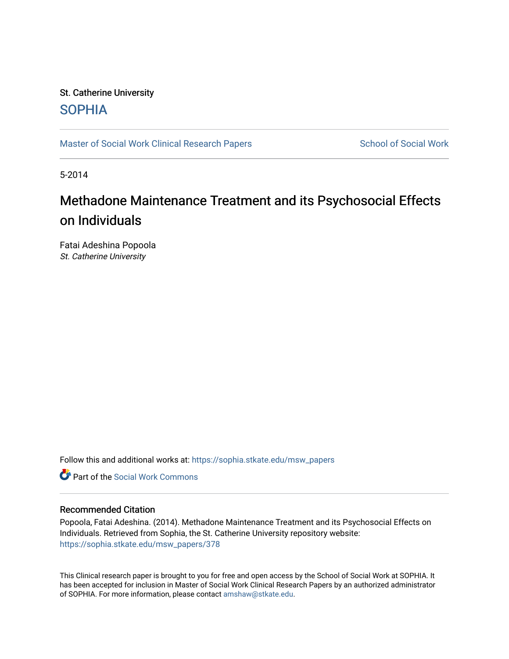## St. Catherine University [SOPHIA](https://sophia.stkate.edu/)

[Master of Social Work Clinical Research Papers](https://sophia.stkate.edu/msw_papers) School of Social Work

5-2014

# Methadone Maintenance Treatment and its Psychosocial Effects on Individuals

Fatai Adeshina Popoola St. Catherine University

Follow this and additional works at: [https://sophia.stkate.edu/msw\\_papers](https://sophia.stkate.edu/msw_papers?utm_source=sophia.stkate.edu%2Fmsw_papers%2F378&utm_medium=PDF&utm_campaign=PDFCoverPages) 

**C** Part of the [Social Work Commons](http://network.bepress.com/hgg/discipline/713?utm_source=sophia.stkate.edu%2Fmsw_papers%2F378&utm_medium=PDF&utm_campaign=PDFCoverPages)

### Recommended Citation

Popoola, Fatai Adeshina. (2014). Methadone Maintenance Treatment and its Psychosocial Effects on Individuals. Retrieved from Sophia, the St. Catherine University repository website: [https://sophia.stkate.edu/msw\\_papers/378](https://sophia.stkate.edu/msw_papers/378?utm_source=sophia.stkate.edu%2Fmsw_papers%2F378&utm_medium=PDF&utm_campaign=PDFCoverPages) 

This Clinical research paper is brought to you for free and open access by the School of Social Work at SOPHIA. It has been accepted for inclusion in Master of Social Work Clinical Research Papers by an authorized administrator of SOPHIA. For more information, please contact [amshaw@stkate.edu.](mailto:amshaw@stkate.edu)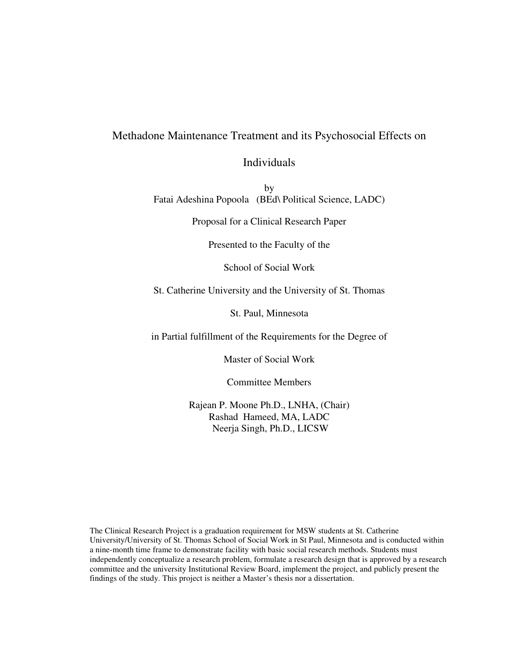## Methadone Maintenance Treatment and its Psychosocial Effects on

Individuals

by Fatai Adeshina Popoola (BEd\ Political Science, LADC)

Proposal for a Clinical Research Paper

Presented to the Faculty of the

School of Social Work

St. Catherine University and the University of St. Thomas

St. Paul, Minnesota

in Partial fulfillment of the Requirements for the Degree of

Master of Social Work

Committee Members

Rajean P. Moone Ph.D., LNHA, (Chair) Rashad Hameed, MA, LADC Neerja Singh, Ph.D., LICSW

The Clinical Research Project is a graduation requirement for MSW students at St. Catherine University/University of St. Thomas School of Social Work in St Paul, Minnesota and is conducted within a nine-month time frame to demonstrate facility with basic social research methods. Students must independently conceptualize a research problem, formulate a research design that is approved by a research committee and the university Institutional Review Board, implement the project, and publicly present the findings of the study. This project is neither a Master's thesis nor a dissertation.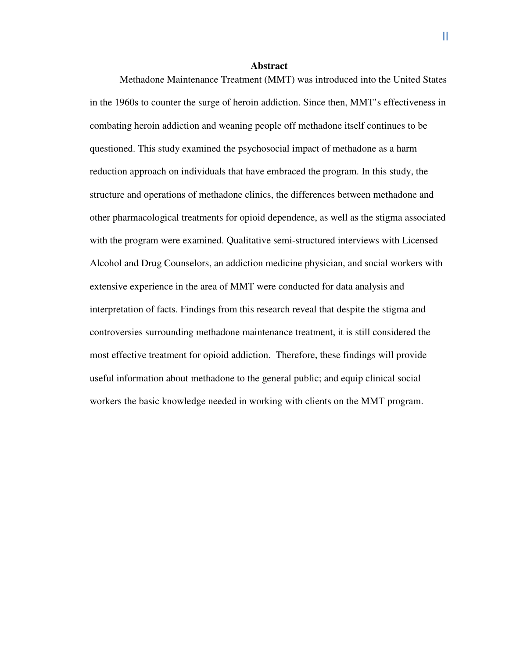#### **Abstract**

Methadone Maintenance Treatment (MMT) was introduced into the United States in the 1960s to counter the surge of heroin addiction. Since then, MMT's effectiveness in combating heroin addiction and weaning people off methadone itself continues to be questioned. This study examined the psychosocial impact of methadone as a harm reduction approach on individuals that have embraced the program. In this study, the structure and operations of methadone clinics, the differences between methadone and other pharmacological treatments for opioid dependence, as well as the stigma associated with the program were examined. Qualitative semi-structured interviews with Licensed Alcohol and Drug Counselors, an addiction medicine physician, and social workers with extensive experience in the area of MMT were conducted for data analysis and interpretation of facts. Findings from this research reveal that despite the stigma and controversies surrounding methadone maintenance treatment, it is still considered the most effective treatment for opioid addiction. Therefore, these findings will provide useful information about methadone to the general public; and equip clinical social workers the basic knowledge needed in working with clients on the MMT program.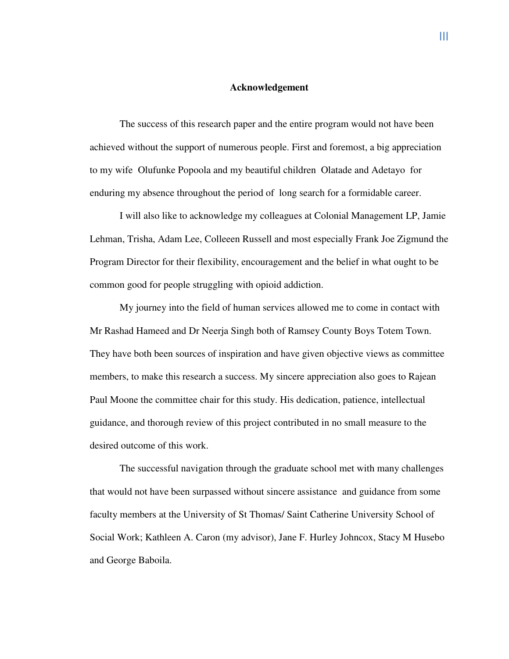#### **Acknowledgement**

The success of this research paper and the entire program would not have been achieved without the support of numerous people. First and foremost, a big appreciation to my wife Olufunke Popoola and my beautiful children Olatade and Adetayo for enduring my absence throughout the period of long search for a formidable career.

I will also like to acknowledge my colleagues at Colonial Management LP, Jamie Lehman, Trisha, Adam Lee, Colleeen Russell and most especially Frank Joe Zigmund the Program Director for their flexibility, encouragement and the belief in what ought to be common good for people struggling with opioid addiction.

My journey into the field of human services allowed me to come in contact with Mr Rashad Hameed and Dr Neerja Singh both of Ramsey County Boys Totem Town. They have both been sources of inspiration and have given objective views as committee members, to make this research a success. My sincere appreciation also goes to Rajean Paul Moone the committee chair for this study. His dedication, patience, intellectual guidance, and thorough review of this project contributed in no small measure to the desired outcome of this work.

The successful navigation through the graduate school met with many challenges that would not have been surpassed without sincere assistance and guidance from some faculty members at the University of St Thomas/ Saint Catherine University School of Social Work; Kathleen A. Caron (my advisor), Jane F. Hurley Johncox, Stacy M Husebo and George Baboila.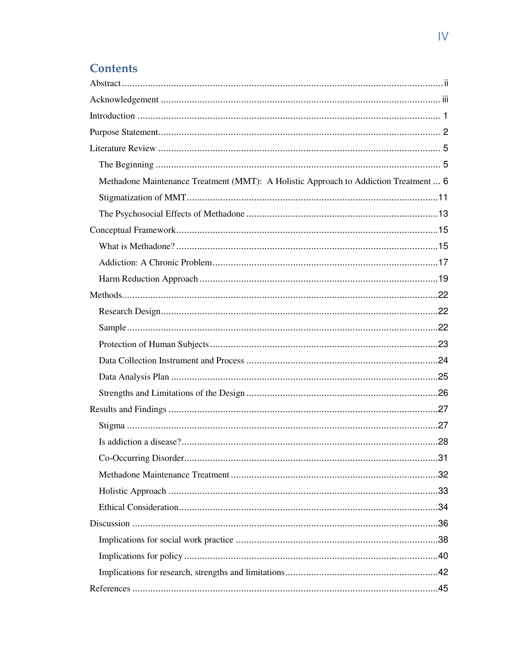## **Contents**

| Methadone Maintenance Treatment (MMT): A Holistic Approach to Addiction Treatment  6 |  |
|--------------------------------------------------------------------------------------|--|
|                                                                                      |  |
|                                                                                      |  |
|                                                                                      |  |
|                                                                                      |  |
|                                                                                      |  |
|                                                                                      |  |
|                                                                                      |  |
|                                                                                      |  |
|                                                                                      |  |
|                                                                                      |  |
|                                                                                      |  |
|                                                                                      |  |
|                                                                                      |  |
|                                                                                      |  |
|                                                                                      |  |
|                                                                                      |  |
|                                                                                      |  |
|                                                                                      |  |
|                                                                                      |  |
|                                                                                      |  |
|                                                                                      |  |
|                                                                                      |  |
|                                                                                      |  |
|                                                                                      |  |
|                                                                                      |  |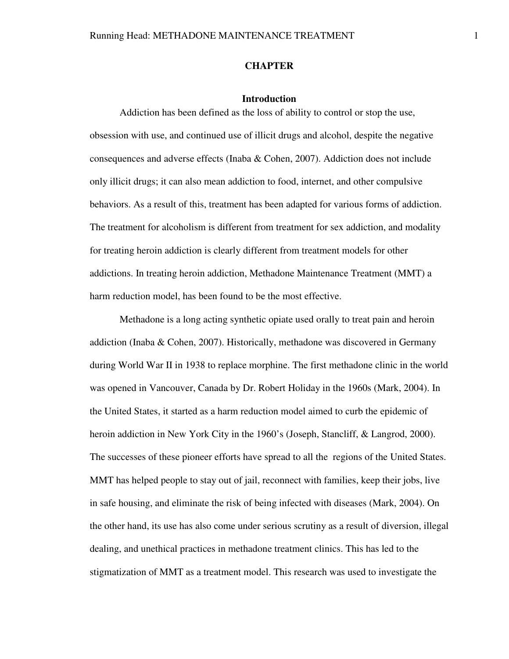#### **CHAPTER**

#### **Introduction**

Addiction has been defined as the loss of ability to control or stop the use, obsession with use, and continued use of illicit drugs and alcohol, despite the negative consequences and adverse effects (Inaba & Cohen, 2007). Addiction does not include only illicit drugs; it can also mean addiction to food, internet, and other compulsive behaviors. As a result of this, treatment has been adapted for various forms of addiction. The treatment for alcoholism is different from treatment for sex addiction, and modality for treating heroin addiction is clearly different from treatment models for other addictions. In treating heroin addiction, Methadone Maintenance Treatment (MMT) a harm reduction model, has been found to be the most effective.

Methadone is a long acting synthetic opiate used orally to treat pain and heroin addiction (Inaba & Cohen, 2007). Historically, methadone was discovered in Germany during World War II in 1938 to replace morphine. The first methadone clinic in the world was opened in Vancouver, Canada by Dr. Robert Holiday in the 1960s (Mark, 2004). In the United States, it started as a harm reduction model aimed to curb the epidemic of heroin addiction in New York City in the 1960's (Joseph, Stancliff, & Langrod, 2000). The successes of these pioneer efforts have spread to all the regions of the United States. MMT has helped people to stay out of jail, reconnect with families, keep their jobs, live in safe housing, and eliminate the risk of being infected with diseases (Mark, 2004). On the other hand, its use has also come under serious scrutiny as a result of diversion, illegal dealing, and unethical practices in methadone treatment clinics. This has led to the stigmatization of MMT as a treatment model. This research was used to investigate the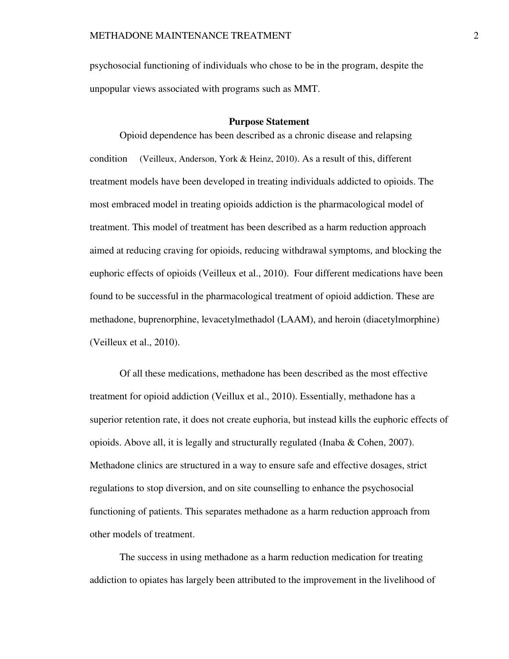psychosocial functioning of individuals who chose to be in the program, despite the unpopular views associated with programs such as MMT.

#### **Purpose Statement**

Opioid dependence has been described as a chronic disease and relapsing condition (Veilleux, Anderson, York & Heinz, 2010). As a result of this, different treatment models have been developed in treating individuals addicted to opioids. The most embraced model in treating opioids addiction is the pharmacological model of treatment. This model of treatment has been described as a harm reduction approach aimed at reducing craving for opioids, reducing withdrawal symptoms, and blocking the euphoric effects of opioids (Veilleux et al., 2010). Four different medications have been found to be successful in the pharmacological treatment of opioid addiction. These are methadone, buprenorphine, levacetylmethadol (LAAM), and heroin (diacetylmorphine) (Veilleux et al., 2010).

Of all these medications, methadone has been described as the most effective treatment for opioid addiction (Veillux et al., 2010). Essentially, methadone has a superior retention rate, it does not create euphoria, but instead kills the euphoric effects of opioids. Above all, it is legally and structurally regulated (Inaba & Cohen, 2007). Methadone clinics are structured in a way to ensure safe and effective dosages, strict regulations to stop diversion, and on site counselling to enhance the psychosocial functioning of patients. This separates methadone as a harm reduction approach from other models of treatment.

The success in using methadone as a harm reduction medication for treating addiction to opiates has largely been attributed to the improvement in the livelihood of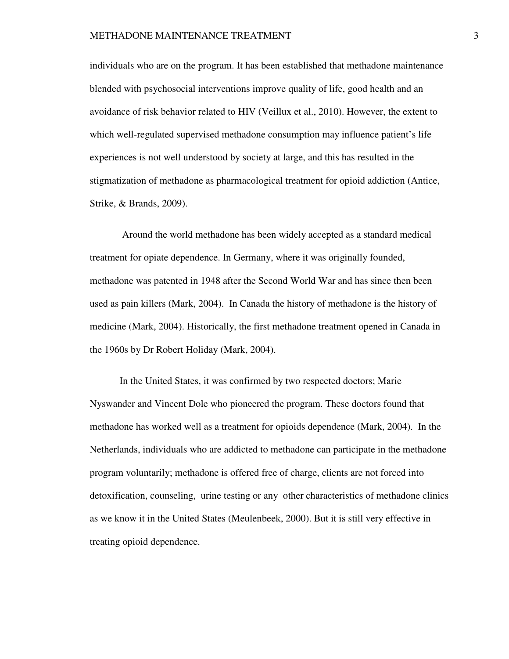individuals who are on the program. It has been established that methadone maintenance blended with psychosocial interventions improve quality of life, good health and an avoidance of risk behavior related to HIV (Veillux et al., 2010). However, the extent to which well-regulated supervised methadone consumption may influence patient's life experiences is not well understood by society at large, and this has resulted in the stigmatization of methadone as pharmacological treatment for opioid addiction (Antice, Strike, & Brands, 2009).

 Around the world methadone has been widely accepted as a standard medical treatment for opiate dependence. In Germany, where it was originally founded, methadone was patented in 1948 after the Second World War and has since then been used as pain killers (Mark, 2004). In Canada the history of methadone is the history of medicine (Mark, 2004). Historically, the first methadone treatment opened in Canada in the 1960s by Dr Robert Holiday (Mark, 2004).

In the United States, it was confirmed by two respected doctors; Marie Nyswander and Vincent Dole who pioneered the program. These doctors found that methadone has worked well as a treatment for opioids dependence (Mark, 2004). In the Netherlands, individuals who are addicted to methadone can participate in the methadone program voluntarily; methadone is offered free of charge, clients are not forced into detoxification, counseling, urine testing or any other characteristics of methadone clinics as we know it in the United States (Meulenbeek, 2000). But it is still very effective in treating opioid dependence.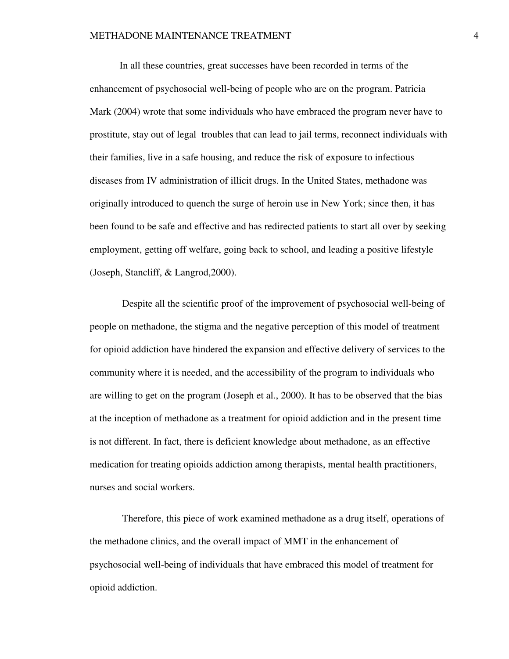In all these countries, great successes have been recorded in terms of the enhancement of psychosocial well-being of people who are on the program. Patricia Mark (2004) wrote that some individuals who have embraced the program never have to prostitute, stay out of legal troubles that can lead to jail terms, reconnect individuals with their families, live in a safe housing, and reduce the risk of exposure to infectious diseases from IV administration of illicit drugs. In the United States, methadone was originally introduced to quench the surge of heroin use in New York; since then, it has been found to be safe and effective and has redirected patients to start all over by seeking employment, getting off welfare, going back to school, and leading a positive lifestyle (Joseph, Stancliff, & Langrod,2000).

 Despite all the scientific proof of the improvement of psychosocial well-being of people on methadone, the stigma and the negative perception of this model of treatment for opioid addiction have hindered the expansion and effective delivery of services to the community where it is needed, and the accessibility of the program to individuals who are willing to get on the program (Joseph et al., 2000). It has to be observed that the bias at the inception of methadone as a treatment for opioid addiction and in the present time is not different. In fact, there is deficient knowledge about methadone, as an effective medication for treating opioids addiction among therapists, mental health practitioners, nurses and social workers.

 Therefore, this piece of work examined methadone as a drug itself, operations of the methadone clinics, and the overall impact of MMT in the enhancement of psychosocial well-being of individuals that have embraced this model of treatment for opioid addiction.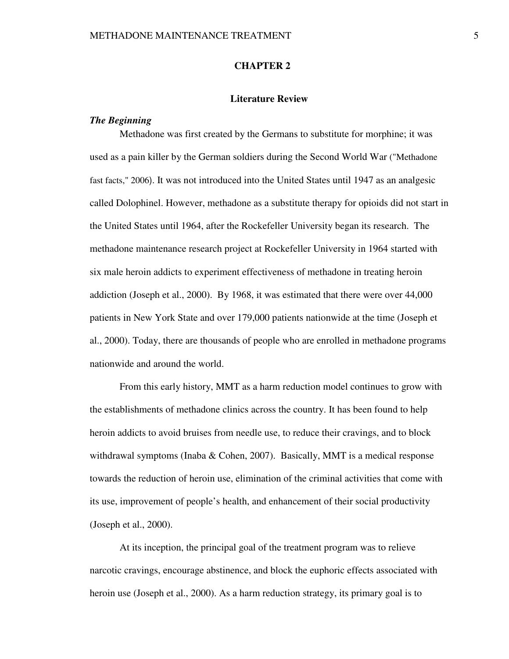#### **CHAPTER 2**

#### **Literature Review**

#### *The Beginning*

Methadone was first created by the Germans to substitute for morphine; it was used as a pain killer by the German soldiers during the Second World War ("Methadone fast facts," 2006). It was not introduced into the United States until 1947 as an analgesic called Dolophinel. However, methadone as a substitute therapy for opioids did not start in the United States until 1964, after the Rockefeller University began its research. The methadone maintenance research project at Rockefeller University in 1964 started with six male heroin addicts to experiment effectiveness of methadone in treating heroin addiction (Joseph et al., 2000). By 1968, it was estimated that there were over 44,000 patients in New York State and over 179,000 patients nationwide at the time (Joseph et al., 2000). Today, there are thousands of people who are enrolled in methadone programs nationwide and around the world.

From this early history, MMT as a harm reduction model continues to grow with the establishments of methadone clinics across the country. It has been found to help heroin addicts to avoid bruises from needle use, to reduce their cravings, and to block withdrawal symptoms (Inaba & Cohen, 2007). Basically, MMT is a medical response towards the reduction of heroin use, elimination of the criminal activities that come with its use, improvement of people's health, and enhancement of their social productivity (Joseph et al., 2000).

At its inception, the principal goal of the treatment program was to relieve narcotic cravings, encourage abstinence, and block the euphoric effects associated with heroin use (Joseph et al., 2000). As a harm reduction strategy, its primary goal is to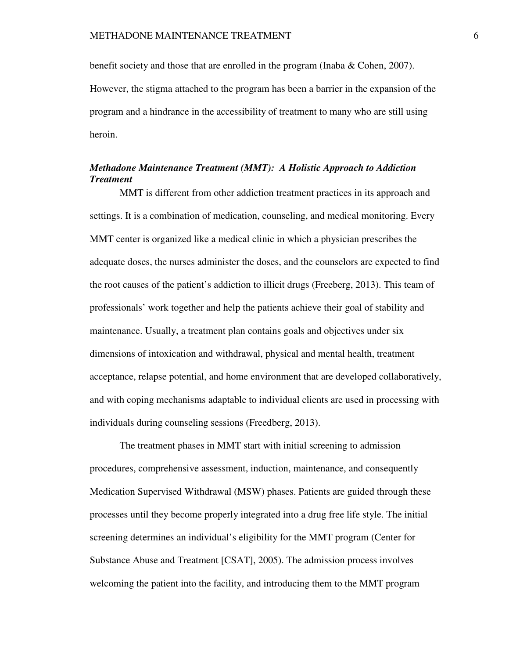benefit society and those that are enrolled in the program (Inaba & Cohen, 2007). However, the stigma attached to the program has been a barrier in the expansion of the program and a hindrance in the accessibility of treatment to many who are still using heroin.

## *Methadone Maintenance Treatment (MMT): A Holistic Approach to Addiction Treatment*

MMT is different from other addiction treatment practices in its approach and settings. It is a combination of medication, counseling, and medical monitoring. Every MMT center is organized like a medical clinic in which a physician prescribes the adequate doses, the nurses administer the doses, and the counselors are expected to find the root causes of the patient's addiction to illicit drugs (Freeberg, 2013). This team of professionals' work together and help the patients achieve their goal of stability and maintenance. Usually, a treatment plan contains goals and objectives under six dimensions of intoxication and withdrawal, physical and mental health, treatment acceptance, relapse potential, and home environment that are developed collaboratively, and with coping mechanisms adaptable to individual clients are used in processing with individuals during counseling sessions (Freedberg, 2013).

 The treatment phases in MMT start with initial screening to admission procedures, comprehensive assessment, induction, maintenance, and consequently Medication Supervised Withdrawal (MSW) phases. Patients are guided through these processes until they become properly integrated into a drug free life style. The initial screening determines an individual's eligibility for the MMT program (Center for Substance Abuse and Treatment [CSAT], 2005). The admission process involves welcoming the patient into the facility, and introducing them to the MMT program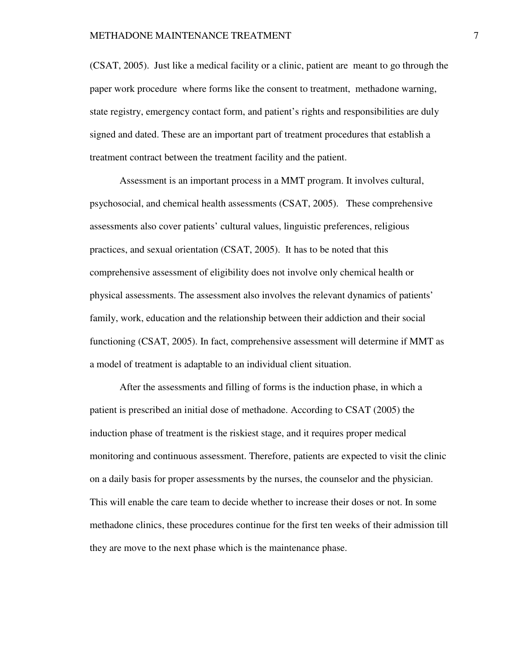(CSAT, 2005). Just like a medical facility or a clinic, patient are meant to go through the paper work procedure where forms like the consent to treatment, methadone warning, state registry, emergency contact form, and patient's rights and responsibilities are duly signed and dated. These are an important part of treatment procedures that establish a treatment contract between the treatment facility and the patient.

 Assessment is an important process in a MMT program. It involves cultural, psychosocial, and chemical health assessments (CSAT, 2005). These comprehensive assessments also cover patients' cultural values, linguistic preferences, religious practices, and sexual orientation (CSAT, 2005). It has to be noted that this comprehensive assessment of eligibility does not involve only chemical health or physical assessments. The assessment also involves the relevant dynamics of patients' family, work, education and the relationship between their addiction and their social functioning (CSAT, 2005). In fact, comprehensive assessment will determine if MMT as a model of treatment is adaptable to an individual client situation.

After the assessments and filling of forms is the induction phase, in which a patient is prescribed an initial dose of methadone. According to CSAT (2005) the induction phase of treatment is the riskiest stage, and it requires proper medical monitoring and continuous assessment. Therefore, patients are expected to visit the clinic on a daily basis for proper assessments by the nurses, the counselor and the physician. This will enable the care team to decide whether to increase their doses or not. In some methadone clinics, these procedures continue for the first ten weeks of their admission till they are move to the next phase which is the maintenance phase.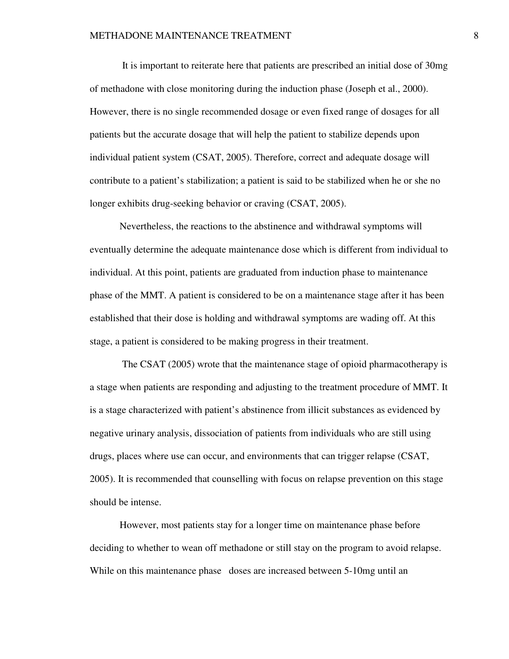It is important to reiterate here that patients are prescribed an initial dose of 30mg of methadone with close monitoring during the induction phase (Joseph et al., 2000). However, there is no single recommended dosage or even fixed range of dosages for all patients but the accurate dosage that will help the patient to stabilize depends upon individual patient system (CSAT, 2005). Therefore, correct and adequate dosage will contribute to a patient's stabilization; a patient is said to be stabilized when he or she no longer exhibits drug-seeking behavior or craving (CSAT, 2005).

Nevertheless, the reactions to the abstinence and withdrawal symptoms will eventually determine the adequate maintenance dose which is different from individual to individual. At this point, patients are graduated from induction phase to maintenance phase of the MMT. A patient is considered to be on a maintenance stage after it has been established that their dose is holding and withdrawal symptoms are wading off. At this stage, a patient is considered to be making progress in their treatment.

 The CSAT (2005) wrote that the maintenance stage of opioid pharmacotherapy is a stage when patients are responding and adjusting to the treatment procedure of MMT. It is a stage characterized with patient's abstinence from illicit substances as evidenced by negative urinary analysis, dissociation of patients from individuals who are still using drugs, places where use can occur, and environments that can trigger relapse (CSAT, 2005). It is recommended that counselling with focus on relapse prevention on this stage should be intense.

However, most patients stay for a longer time on maintenance phase before deciding to whether to wean off methadone or still stay on the program to avoid relapse. While on this maintenance phase doses are increased between 5-10mg until an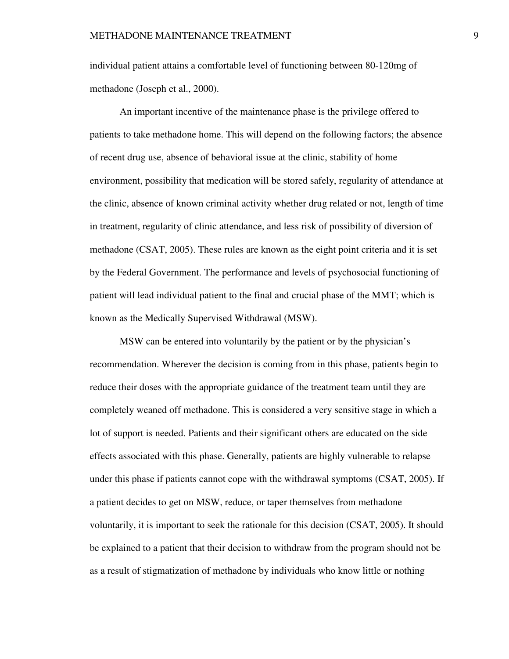individual patient attains a comfortable level of functioning between 80-120mg of methadone (Joseph et al., 2000).

An important incentive of the maintenance phase is the privilege offered to patients to take methadone home. This will depend on the following factors; the absence of recent drug use, absence of behavioral issue at the clinic, stability of home environment, possibility that medication will be stored safely, regularity of attendance at the clinic, absence of known criminal activity whether drug related or not, length of time in treatment, regularity of clinic attendance, and less risk of possibility of diversion of methadone (CSAT, 2005). These rules are known as the eight point criteria and it is set by the Federal Government. The performance and levels of psychosocial functioning of patient will lead individual patient to the final and crucial phase of the MMT; which is known as the Medically Supervised Withdrawal (MSW).

MSW can be entered into voluntarily by the patient or by the physician's recommendation. Wherever the decision is coming from in this phase, patients begin to reduce their doses with the appropriate guidance of the treatment team until they are completely weaned off methadone. This is considered a very sensitive stage in which a lot of support is needed. Patients and their significant others are educated on the side effects associated with this phase. Generally, patients are highly vulnerable to relapse under this phase if patients cannot cope with the withdrawal symptoms (CSAT, 2005). If a patient decides to get on MSW, reduce, or taper themselves from methadone voluntarily, it is important to seek the rationale for this decision (CSAT, 2005). It should be explained to a patient that their decision to withdraw from the program should not be as a result of stigmatization of methadone by individuals who know little or nothing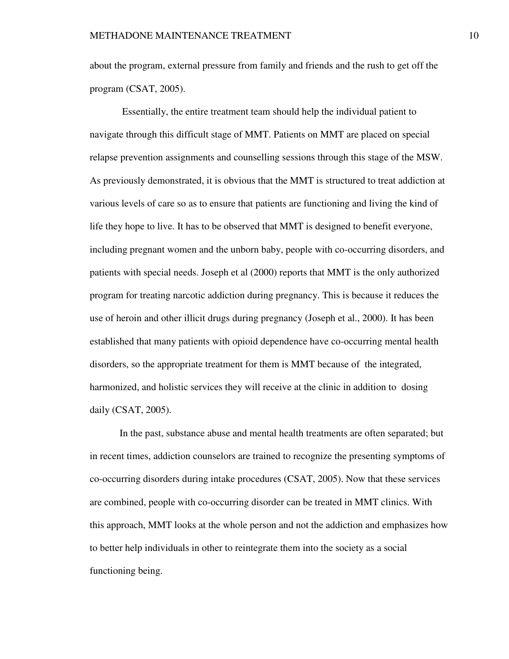about the program, external pressure from family and friends and the rush to get off the program (CSAT, 2005).

 Essentially, the entire treatment team should help the individual patient to navigate through this difficult stage of MMT. Patients on MMT are placed on special relapse prevention assignments and counselling sessions through this stage of the MSW. As previously demonstrated, it is obvious that the MMT is structured to treat addiction at various levels of care so as to ensure that patients are functioning and living the kind of life they hope to live. It has to be observed that MMT is designed to benefit everyone, including pregnant women and the unborn baby, people with co-occurring disorders, and patients with special needs. Joseph et al (2000) reports that MMT is the only authorized program for treating narcotic addiction during pregnancy. This is because it reduces the use of heroin and other illicit drugs during pregnancy (Joseph et al., 2000). It has been established that many patients with opioid dependence have co-occurring mental health disorders, so the appropriate treatment for them is MMT because of the integrated, harmonized, and holistic services they will receive at the clinic in addition to dosing daily (CSAT, 2005).

In the past, substance abuse and mental health treatments are often separated; but in recent times, addiction counselors are trained to recognize the presenting symptoms of co-occurring disorders during intake procedures (CSAT, 2005). Now that these services are combined, people with co-occurring disorder can be treated in MMT clinics. With this approach, MMT looks at the whole person and not the addiction and emphasizes how to better help individuals in other to reintegrate them into the society as a social functioning being.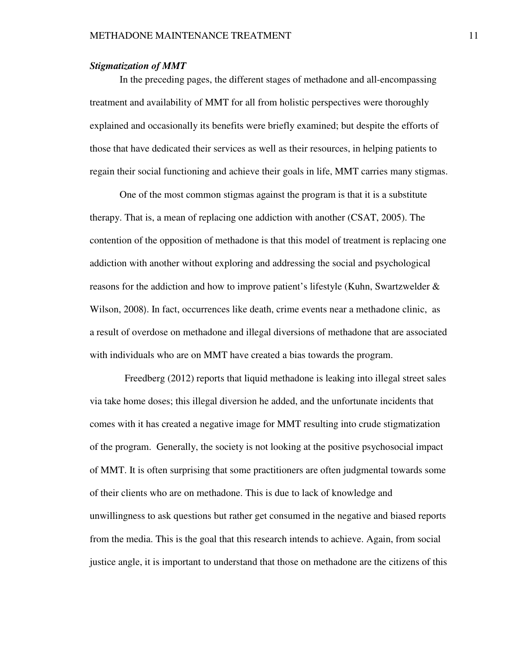#### *Stigmatization of MMT*

In the preceding pages, the different stages of methadone and all-encompassing treatment and availability of MMT for all from holistic perspectives were thoroughly explained and occasionally its benefits were briefly examined; but despite the efforts of those that have dedicated their services as well as their resources, in helping patients to regain their social functioning and achieve their goals in life, MMT carries many stigmas.

One of the most common stigmas against the program is that it is a substitute therapy. That is, a mean of replacing one addiction with another (CSAT, 2005). The contention of the opposition of methadone is that this model of treatment is replacing one addiction with another without exploring and addressing the social and psychological reasons for the addiction and how to improve patient's lifestyle (Kuhn, Swartzwelder & Wilson, 2008). In fact, occurrences like death, crime events near a methadone clinic, as a result of overdose on methadone and illegal diversions of methadone that are associated with individuals who are on MMT have created a bias towards the program.

 Freedberg (2012) reports that liquid methadone is leaking into illegal street sales via take home doses; this illegal diversion he added, and the unfortunate incidents that comes with it has created a negative image for MMT resulting into crude stigmatization of the program. Generally, the society is not looking at the positive psychosocial impact of MMT. It is often surprising that some practitioners are often judgmental towards some of their clients who are on methadone. This is due to lack of knowledge and unwillingness to ask questions but rather get consumed in the negative and biased reports from the media. This is the goal that this research intends to achieve. Again, from social justice angle, it is important to understand that those on methadone are the citizens of this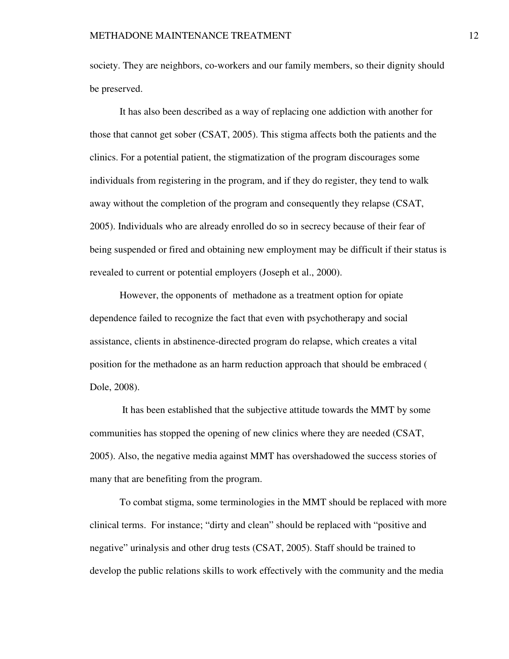society. They are neighbors, co-workers and our family members, so their dignity should be preserved.

It has also been described as a way of replacing one addiction with another for those that cannot get sober (CSAT, 2005). This stigma affects both the patients and the clinics. For a potential patient, the stigmatization of the program discourages some individuals from registering in the program, and if they do register, they tend to walk away without the completion of the program and consequently they relapse (CSAT, 2005). Individuals who are already enrolled do so in secrecy because of their fear of being suspended or fired and obtaining new employment may be difficult if their status is revealed to current or potential employers (Joseph et al., 2000).

However, the opponents of methadone as a treatment option for opiate dependence failed to recognize the fact that even with psychotherapy and social assistance, clients in abstinence-directed program do relapse, which creates a vital position for the methadone as an harm reduction approach that should be embraced ( Dole, 2008).

 It has been established that the subjective attitude towards the MMT by some communities has stopped the opening of new clinics where they are needed (CSAT, 2005). Also, the negative media against MMT has overshadowed the success stories of many that are benefiting from the program.

To combat stigma, some terminologies in the MMT should be replaced with more clinical terms. For instance; "dirty and clean" should be replaced with "positive and negative" urinalysis and other drug tests (CSAT, 2005). Staff should be trained to develop the public relations skills to work effectively with the community and the media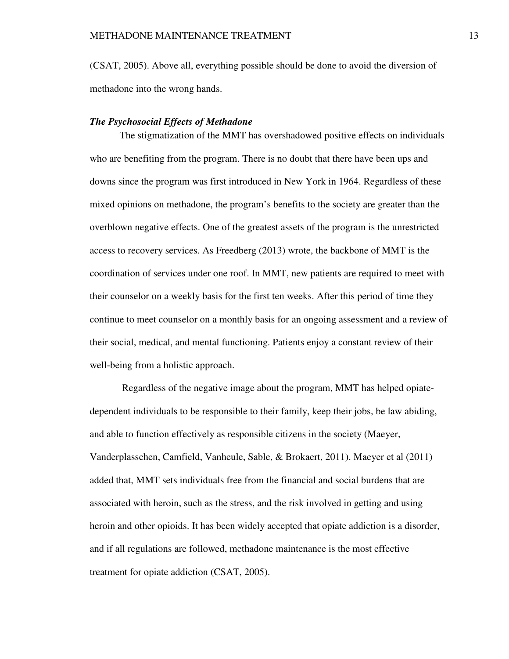(CSAT, 2005). Above all, everything possible should be done to avoid the diversion of methadone into the wrong hands.

#### *The Psychosocial Effects of Methadone*

 The stigmatization of the MMT has overshadowed positive effects on individuals who are benefiting from the program. There is no doubt that there have been ups and downs since the program was first introduced in New York in 1964. Regardless of these mixed opinions on methadone, the program's benefits to the society are greater than the overblown negative effects. One of the greatest assets of the program is the unrestricted access to recovery services. As Freedberg (2013) wrote, the backbone of MMT is the coordination of services under one roof. In MMT, new patients are required to meet with their counselor on a weekly basis for the first ten weeks. After this period of time they continue to meet counselor on a monthly basis for an ongoing assessment and a review of their social, medical, and mental functioning. Patients enjoy a constant review of their well-being from a holistic approach.

 Regardless of the negative image about the program, MMT has helped opiatedependent individuals to be responsible to their family, keep their jobs, be law abiding, and able to function effectively as responsible citizens in the society (Maeyer, Vanderplasschen, Camfield, Vanheule, Sable, & Brokaert, 2011). Maeyer et al (2011) added that, MMT sets individuals free from the financial and social burdens that are associated with heroin, such as the stress, and the risk involved in getting and using heroin and other opioids. It has been widely accepted that opiate addiction is a disorder, and if all regulations are followed, methadone maintenance is the most effective treatment for opiate addiction (CSAT, 2005).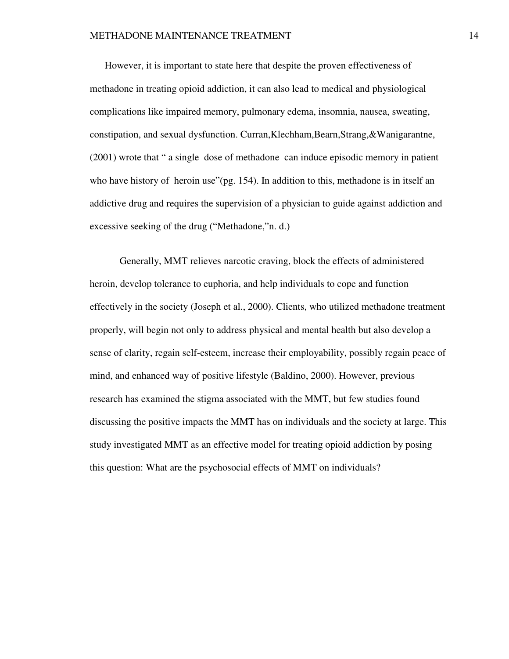However, it is important to state here that despite the proven effectiveness of methadone in treating opioid addiction, it can also lead to medical and physiological complications like impaired memory, pulmonary edema, insomnia, nausea, sweating, constipation, and sexual dysfunction. Curran,Klechham,Bearn,Strang,&Wanigarantne, (2001) wrote that " a single dose of methadone can induce episodic memory in patient who have history of heroin use"(pg. 154). In addition to this, methadone is in itself an addictive drug and requires the supervision of a physician to guide against addiction and excessive seeking of the drug ("Methadone,"n. d.)

Generally, MMT relieves narcotic craving, block the effects of administered heroin, develop tolerance to euphoria, and help individuals to cope and function effectively in the society (Joseph et al., 2000). Clients, who utilized methadone treatment properly, will begin not only to address physical and mental health but also develop a sense of clarity, regain self-esteem, increase their employability, possibly regain peace of mind, and enhanced way of positive lifestyle (Baldino, 2000). However, previous research has examined the stigma associated with the MMT, but few studies found discussing the positive impacts the MMT has on individuals and the society at large. This study investigated MMT as an effective model for treating opioid addiction by posing this question: What are the psychosocial effects of MMT on individuals?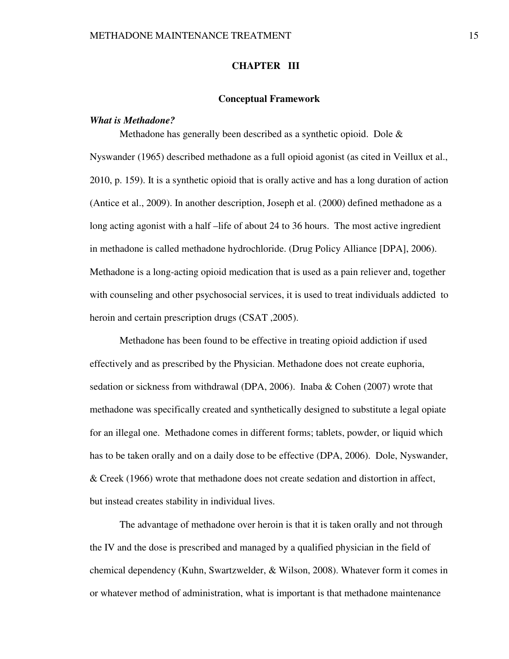#### **CHAPTER III**

#### **Conceptual Framework**

### *What is Methadone?*

Methadone has generally been described as a synthetic opioid. Dole & Nyswander (1965) described methadone as a full opioid agonist (as cited in Veillux et al., 2010, p. 159). It is a synthetic opioid that is orally active and has a long duration of action (Antice et al., 2009). In another description, Joseph et al. (2000) defined methadone as a long acting agonist with a half –life of about 24 to 36 hours. The most active ingredient in methadone is called methadone hydrochloride. (Drug Policy Alliance [DPA], 2006). Methadone is a long-acting opioid medication that is used as a pain reliever and, together with counseling and other psychosocial services, it is used to treat individuals addicted to heroin and certain prescription drugs (CSAT ,2005).

Methadone has been found to be effective in treating opioid addiction if used effectively and as prescribed by the Physician. Methadone does not create euphoria, sedation or sickness from withdrawal (DPA, 2006). Inaba  $&$  Cohen (2007) wrote that methadone was specifically created and synthetically designed to substitute a legal opiate for an illegal one. Methadone comes in different forms; tablets, powder, or liquid which has to be taken orally and on a daily dose to be effective (DPA, 2006). Dole, Nyswander, & Creek (1966) wrote that methadone does not create sedation and distortion in affect, but instead creates stability in individual lives.

The advantage of methadone over heroin is that it is taken orally and not through the IV and the dose is prescribed and managed by a qualified physician in the field of chemical dependency (Kuhn, Swartzwelder, & Wilson, 2008). Whatever form it comes in or whatever method of administration, what is important is that methadone maintenance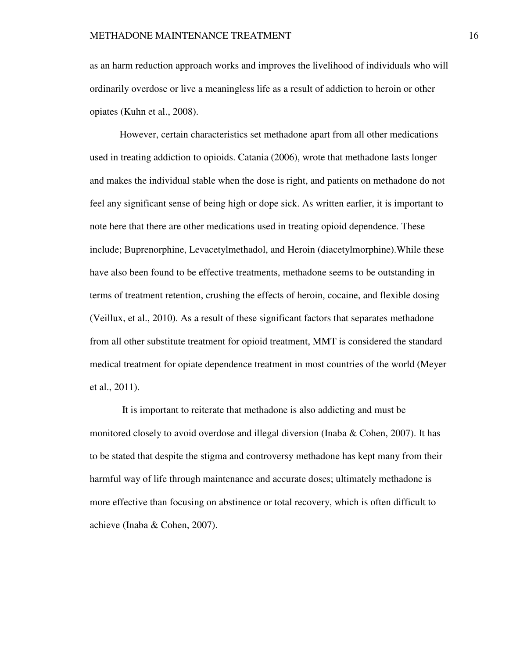as an harm reduction approach works and improves the livelihood of individuals who will ordinarily overdose or live a meaningless life as a result of addiction to heroin or other opiates (Kuhn et al., 2008).

However, certain characteristics set methadone apart from all other medications used in treating addiction to opioids. Catania (2006), wrote that methadone lasts longer and makes the individual stable when the dose is right, and patients on methadone do not feel any significant sense of being high or dope sick. As written earlier, it is important to note here that there are other medications used in treating opioid dependence. These include; Buprenorphine, Levacetylmethadol, and Heroin (diacetylmorphine).While these have also been found to be effective treatments, methadone seems to be outstanding in terms of treatment retention, crushing the effects of heroin, cocaine, and flexible dosing (Veillux, et al., 2010). As a result of these significant factors that separates methadone from all other substitute treatment for opioid treatment, MMT is considered the standard medical treatment for opiate dependence treatment in most countries of the world (Meyer et al., 2011).

 It is important to reiterate that methadone is also addicting and must be monitored closely to avoid overdose and illegal diversion (Inaba  $\&$  Cohen, 2007). It has to be stated that despite the stigma and controversy methadone has kept many from their harmful way of life through maintenance and accurate doses; ultimately methadone is more effective than focusing on abstinence or total recovery, which is often difficult to achieve (Inaba & Cohen, 2007).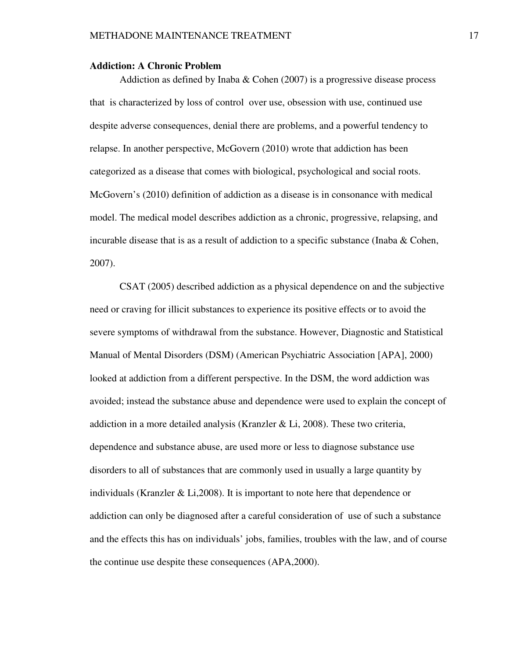#### **Addiction: A Chronic Problem**

Addiction as defined by Inaba  $&$  Cohen (2007) is a progressive disease process that is characterized by loss of control over use, obsession with use, continued use despite adverse consequences, denial there are problems, and a powerful tendency to relapse. In another perspective, McGovern (2010) wrote that addiction has been categorized as a disease that comes with biological, psychological and social roots. McGovern's (2010) definition of addiction as a disease is in consonance with medical model. The medical model describes addiction as a chronic, progressive, relapsing, and incurable disease that is as a result of addiction to a specific substance (Inaba & Cohen, 2007).

CSAT (2005) described addiction as a physical dependence on and the subjective need or craving for illicit substances to experience its positive effects or to avoid the severe symptoms of withdrawal from the substance. However, Diagnostic and Statistical Manual of Mental Disorders (DSM) (American Psychiatric Association [APA], 2000) looked at addiction from a different perspective. In the DSM, the word addiction was avoided; instead the substance abuse and dependence were used to explain the concept of addiction in a more detailed analysis (Kranzler & Li, 2008). These two criteria, dependence and substance abuse, are used more or less to diagnose substance use disorders to all of substances that are commonly used in usually a large quantity by individuals (Kranzler  $& Li, 2008$ ). It is important to note here that dependence or addiction can only be diagnosed after a careful consideration of use of such a substance and the effects this has on individuals' jobs, families, troubles with the law, and of course the continue use despite these consequences (APA,2000).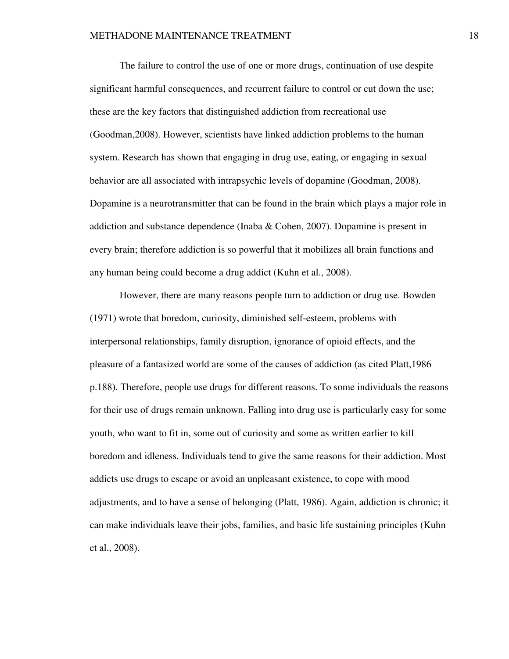The failure to control the use of one or more drugs, continuation of use despite significant harmful consequences, and recurrent failure to control or cut down the use; these are the key factors that distinguished addiction from recreational use (Goodman,2008). However, scientists have linked addiction problems to the human system. Research has shown that engaging in drug use, eating, or engaging in sexual behavior are all associated with intrapsychic levels of dopamine (Goodman, 2008). Dopamine is a neurotransmitter that can be found in the brain which plays a major role in addiction and substance dependence (Inaba & Cohen, 2007). Dopamine is present in every brain; therefore addiction is so powerful that it mobilizes all brain functions and any human being could become a drug addict (Kuhn et al., 2008).

However, there are many reasons people turn to addiction or drug use. Bowden (1971) wrote that boredom, curiosity, diminished self-esteem, problems with interpersonal relationships, family disruption, ignorance of opioid effects, and the pleasure of a fantasized world are some of the causes of addiction (as cited Platt,1986 p.188). Therefore, people use drugs for different reasons. To some individuals the reasons for their use of drugs remain unknown. Falling into drug use is particularly easy for some youth, who want to fit in, some out of curiosity and some as written earlier to kill boredom and idleness. Individuals tend to give the same reasons for their addiction. Most addicts use drugs to escape or avoid an unpleasant existence, to cope with mood adjustments, and to have a sense of belonging (Platt, 1986). Again, addiction is chronic; it can make individuals leave their jobs, families, and basic life sustaining principles (Kuhn et al., 2008).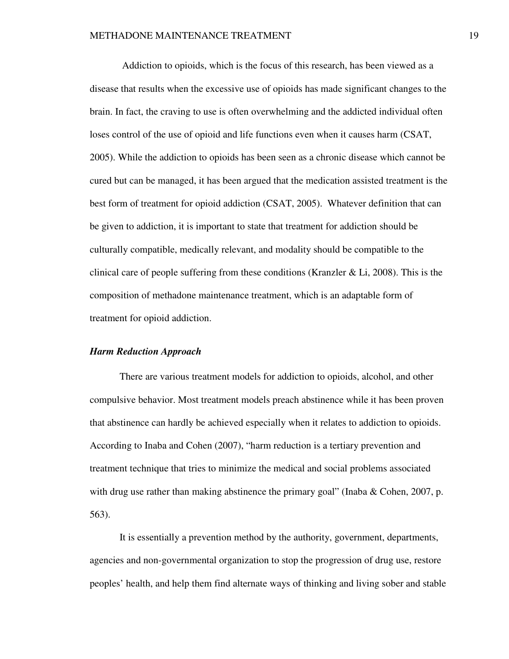Addiction to opioids, which is the focus of this research, has been viewed as a disease that results when the excessive use of opioids has made significant changes to the brain. In fact, the craving to use is often overwhelming and the addicted individual often loses control of the use of opioid and life functions even when it causes harm (CSAT, 2005). While the addiction to opioids has been seen as a chronic disease which cannot be cured but can be managed, it has been argued that the medication assisted treatment is the best form of treatment for opioid addiction (CSAT, 2005). Whatever definition that can be given to addiction, it is important to state that treatment for addiction should be culturally compatible, medically relevant, and modality should be compatible to the clinical care of people suffering from these conditions (Kranzler & Li, 2008). This is the composition of methadone maintenance treatment, which is an adaptable form of treatment for opioid addiction.

#### *Harm Reduction Approach*

 There are various treatment models for addiction to opioids, alcohol, and other compulsive behavior. Most treatment models preach abstinence while it has been proven that abstinence can hardly be achieved especially when it relates to addiction to opioids. According to Inaba and Cohen (2007), "harm reduction is a tertiary prevention and treatment technique that tries to minimize the medical and social problems associated with drug use rather than making abstinence the primary goal" (Inaba & Cohen, 2007, p. 563).

 It is essentially a prevention method by the authority, government, departments, agencies and non-governmental organization to stop the progression of drug use, restore peoples' health, and help them find alternate ways of thinking and living sober and stable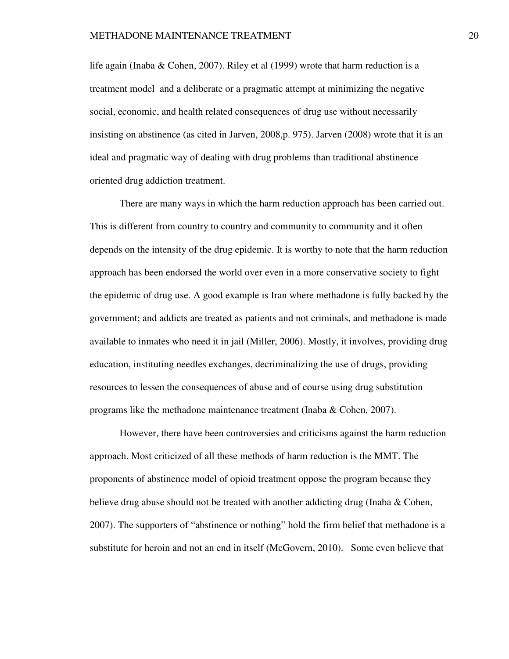life again (Inaba & Cohen, 2007). Riley et al (1999) wrote that harm reduction is a treatment model and a deliberate or a pragmatic attempt at minimizing the negative social, economic, and health related consequences of drug use without necessarily insisting on abstinence (as cited in Jarven, 2008,p. 975). Jarven (2008) wrote that it is an ideal and pragmatic way of dealing with drug problems than traditional abstinence oriented drug addiction treatment.

There are many ways in which the harm reduction approach has been carried out. This is different from country to country and community to community and it often depends on the intensity of the drug epidemic. It is worthy to note that the harm reduction approach has been endorsed the world over even in a more conservative society to fight the epidemic of drug use. A good example is Iran where methadone is fully backed by the government; and addicts are treated as patients and not criminals, and methadone is made available to inmates who need it in jail (Miller, 2006). Mostly, it involves, providing drug education, instituting needles exchanges, decriminalizing the use of drugs, providing resources to lessen the consequences of abuse and of course using drug substitution programs like the methadone maintenance treatment (Inaba & Cohen, 2007).

However, there have been controversies and criticisms against the harm reduction approach. Most criticized of all these methods of harm reduction is the MMT. The proponents of abstinence model of opioid treatment oppose the program because they believe drug abuse should not be treated with another addicting drug (Inaba & Cohen, 2007). The supporters of "abstinence or nothing" hold the firm belief that methadone is a substitute for heroin and not an end in itself (McGovern, 2010). Some even believe that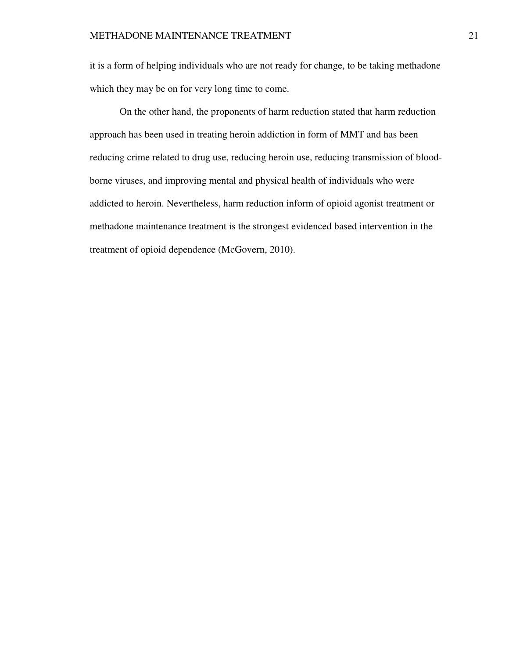it is a form of helping individuals who are not ready for change, to be taking methadone which they may be on for very long time to come.

On the other hand, the proponents of harm reduction stated that harm reduction approach has been used in treating heroin addiction in form of MMT and has been reducing crime related to drug use, reducing heroin use, reducing transmission of bloodborne viruses, and improving mental and physical health of individuals who were addicted to heroin. Nevertheless, harm reduction inform of opioid agonist treatment or methadone maintenance treatment is the strongest evidenced based intervention in the treatment of opioid dependence (McGovern, 2010).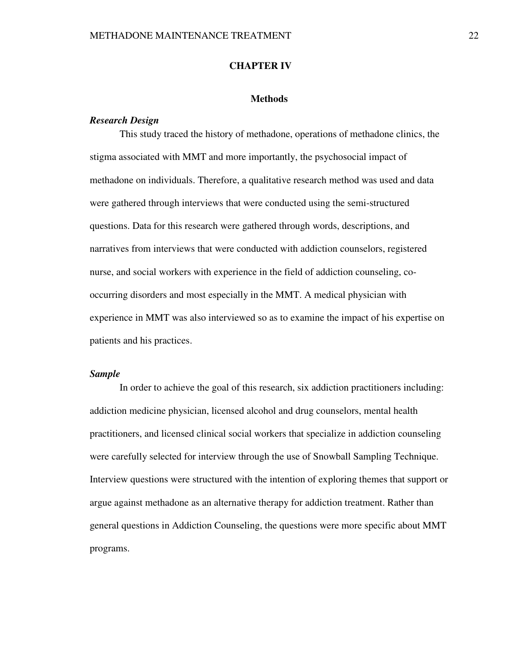#### **CHAPTER IV**

#### **Methods**

#### *Research Design*

This study traced the history of methadone, operations of methadone clinics, the stigma associated with MMT and more importantly, the psychosocial impact of methadone on individuals. Therefore, a qualitative research method was used and data were gathered through interviews that were conducted using the semi-structured questions. Data for this research were gathered through words, descriptions, and narratives from interviews that were conducted with addiction counselors, registered nurse, and social workers with experience in the field of addiction counseling, cooccurring disorders and most especially in the MMT. A medical physician with experience in MMT was also interviewed so as to examine the impact of his expertise on patients and his practices.

#### *Sample*

In order to achieve the goal of this research, six addiction practitioners including: addiction medicine physician, licensed alcohol and drug counselors, mental health practitioners, and licensed clinical social workers that specialize in addiction counseling were carefully selected for interview through the use of Snowball Sampling Technique. Interview questions were structured with the intention of exploring themes that support or argue against methadone as an alternative therapy for addiction treatment. Rather than general questions in Addiction Counseling, the questions were more specific about MMT programs.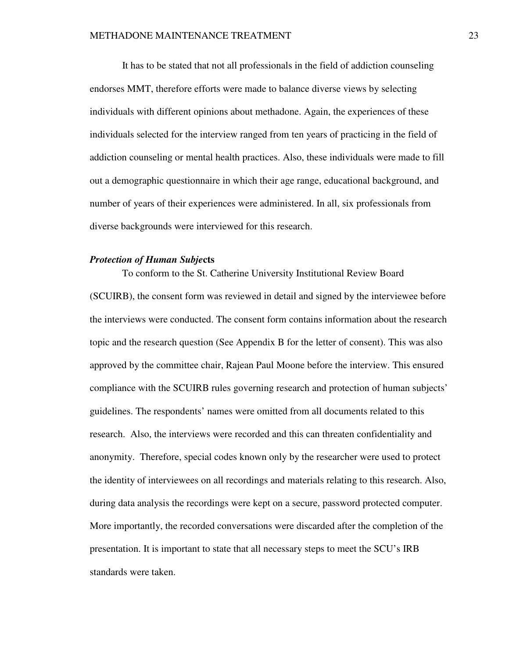It has to be stated that not all professionals in the field of addiction counseling endorses MMT, therefore efforts were made to balance diverse views by selecting individuals with different opinions about methadone. Again, the experiences of these individuals selected for the interview ranged from ten years of practicing in the field of addiction counseling or mental health practices. Also, these individuals were made to fill out a demographic questionnaire in which their age range, educational background, and number of years of their experiences were administered. In all, six professionals from diverse backgrounds were interviewed for this research.

#### *Protection of Human Subje***cts**

 To conform to the St. Catherine University Institutional Review Board (SCUIRB), the consent form was reviewed in detail and signed by the interviewee before the interviews were conducted. The consent form contains information about the research topic and the research question (See Appendix B for the letter of consent). This was also approved by the committee chair, Rajean Paul Moone before the interview. This ensured compliance with the SCUIRB rules governing research and protection of human subjects' guidelines. The respondents' names were omitted from all documents related to this research. Also, the interviews were recorded and this can threaten confidentiality and anonymity. Therefore, special codes known only by the researcher were used to protect the identity of interviewees on all recordings and materials relating to this research. Also, during data analysis the recordings were kept on a secure, password protected computer. More importantly, the recorded conversations were discarded after the completion of the presentation. It is important to state that all necessary steps to meet the SCU's IRB standards were taken.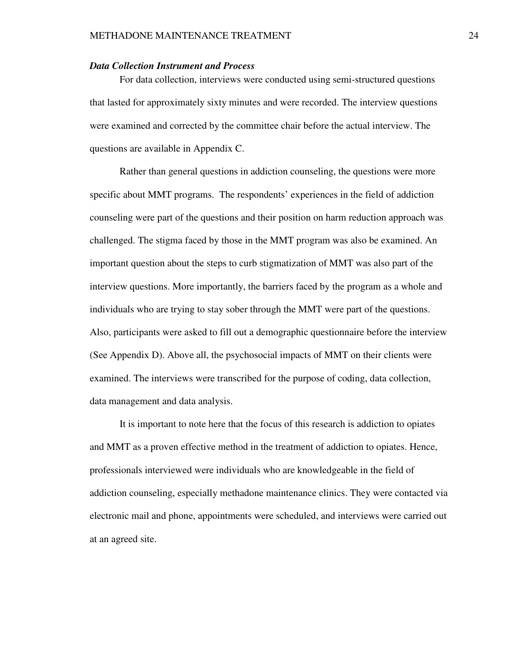#### *Data Collection Instrument and Process*

For data collection, interviews were conducted using semi-structured questions that lasted for approximately sixty minutes and were recorded. The interview questions were examined and corrected by the committee chair before the actual interview. The questions are available in Appendix C.

 Rather than general questions in addiction counseling, the questions were more specific about MMT programs. The respondents' experiences in the field of addiction counseling were part of the questions and their position on harm reduction approach was challenged. The stigma faced by those in the MMT program was also be examined. An important question about the steps to curb stigmatization of MMT was also part of the interview questions. More importantly, the barriers faced by the program as a whole and individuals who are trying to stay sober through the MMT were part of the questions. Also, participants were asked to fill out a demographic questionnaire before the interview (See Appendix D). Above all, the psychosocial impacts of MMT on their clients were examined. The interviews were transcribed for the purpose of coding, data collection, data management and data analysis.

 It is important to note here that the focus of this research is addiction to opiates and MMT as a proven effective method in the treatment of addiction to opiates. Hence, professionals interviewed were individuals who are knowledgeable in the field of addiction counseling, especially methadone maintenance clinics. They were contacted via electronic mail and phone, appointments were scheduled, and interviews were carried out at an agreed site.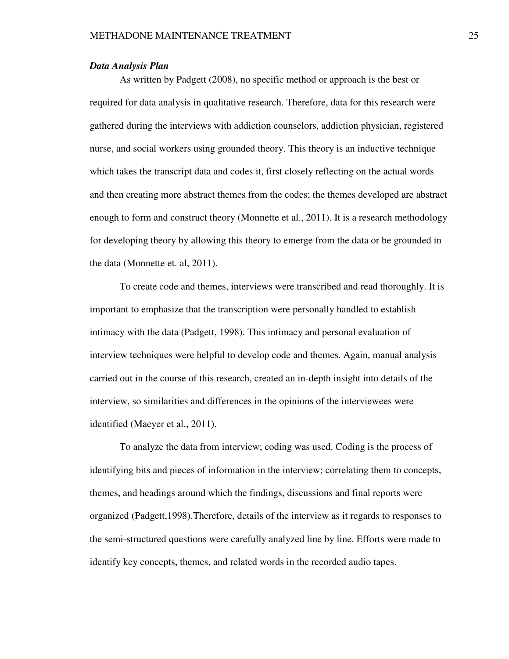#### *Data Analysis Plan*

As written by Padgett (2008), no specific method or approach is the best or required for data analysis in qualitative research. Therefore, data for this research were gathered during the interviews with addiction counselors, addiction physician, registered nurse, and social workers using grounded theory. This theory is an inductive technique which takes the transcript data and codes it, first closely reflecting on the actual words and then creating more abstract themes from the codes; the themes developed are abstract enough to form and construct theory (Monnette et al., 2011). It is a research methodology for developing theory by allowing this theory to emerge from the data or be grounded in the data (Monnette et. al, 2011).

To create code and themes, interviews were transcribed and read thoroughly. It is important to emphasize that the transcription were personally handled to establish intimacy with the data (Padgett, 1998). This intimacy and personal evaluation of interview techniques were helpful to develop code and themes. Again, manual analysis carried out in the course of this research, created an in-depth insight into details of the interview, so similarities and differences in the opinions of the interviewees were identified (Maeyer et al., 2011).

 To analyze the data from interview; coding was used. Coding is the process of identifying bits and pieces of information in the interview; correlating them to concepts, themes, and headings around which the findings, discussions and final reports were organized (Padgett,1998).Therefore, details of the interview as it regards to responses to the semi-structured questions were carefully analyzed line by line. Efforts were made to identify key concepts, themes, and related words in the recorded audio tapes.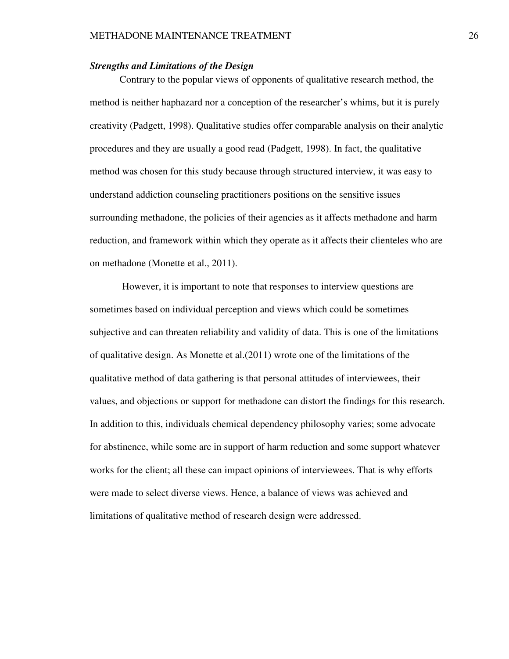#### *Strengths and Limitations of the Design*

Contrary to the popular views of opponents of qualitative research method, the method is neither haphazard nor a conception of the researcher's whims, but it is purely creativity (Padgett, 1998). Qualitative studies offer comparable analysis on their analytic procedures and they are usually a good read (Padgett, 1998). In fact, the qualitative method was chosen for this study because through structured interview, it was easy to understand addiction counseling practitioners positions on the sensitive issues surrounding methadone, the policies of their agencies as it affects methadone and harm reduction, and framework within which they operate as it affects their clienteles who are on methadone (Monette et al., 2011).

 However, it is important to note that responses to interview questions are sometimes based on individual perception and views which could be sometimes subjective and can threaten reliability and validity of data. This is one of the limitations of qualitative design. As Monette et al.(2011) wrote one of the limitations of the qualitative method of data gathering is that personal attitudes of interviewees, their values, and objections or support for methadone can distort the findings for this research. In addition to this, individuals chemical dependency philosophy varies; some advocate for abstinence, while some are in support of harm reduction and some support whatever works for the client; all these can impact opinions of interviewees. That is why efforts were made to select diverse views. Hence, a balance of views was achieved and limitations of qualitative method of research design were addressed.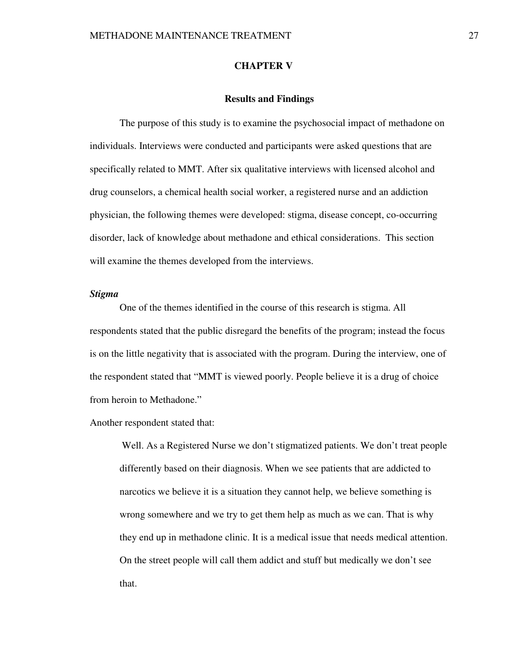#### **CHAPTER V**

#### **Results and Findings**

The purpose of this study is to examine the psychosocial impact of methadone on individuals. Interviews were conducted and participants were asked questions that are specifically related to MMT. After six qualitative interviews with licensed alcohol and drug counselors, a chemical health social worker, a registered nurse and an addiction physician, the following themes were developed: stigma, disease concept, co-occurring disorder, lack of knowledge about methadone and ethical considerations. This section will examine the themes developed from the interviews.

### *Stigma*

One of the themes identified in the course of this research is stigma. All respondents stated that the public disregard the benefits of the program; instead the focus is on the little negativity that is associated with the program. During the interview, one of the respondent stated that "MMT is viewed poorly. People believe it is a drug of choice from heroin to Methadone."

Another respondent stated that:

Well. As a Registered Nurse we don't stigmatized patients. We don't treat people differently based on their diagnosis. When we see patients that are addicted to narcotics we believe it is a situation they cannot help, we believe something is wrong somewhere and we try to get them help as much as we can. That is why they end up in methadone clinic. It is a medical issue that needs medical attention. On the street people will call them addict and stuff but medically we don't see that.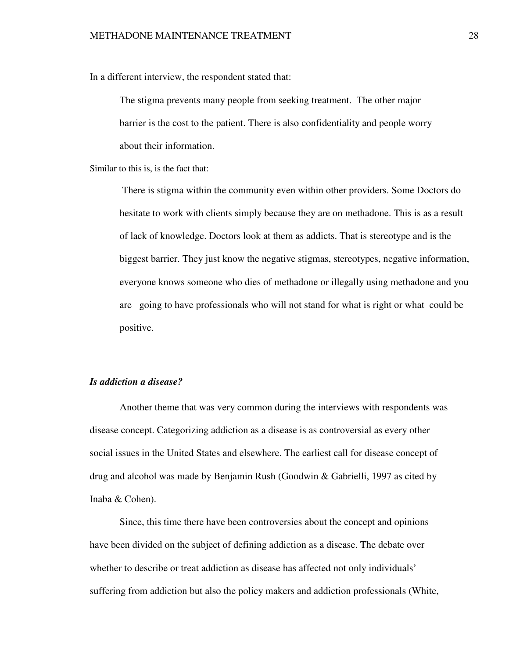In a different interview, the respondent stated that:

The stigma prevents many people from seeking treatment. The other major barrier is the cost to the patient. There is also confidentiality and people worry about their information.

Similar to this is, is the fact that:

 There is stigma within the community even within other providers. Some Doctors do hesitate to work with clients simply because they are on methadone. This is as a result of lack of knowledge. Doctors look at them as addicts. That is stereotype and is the biggest barrier. They just know the negative stigmas, stereotypes, negative information, everyone knows someone who dies of methadone or illegally using methadone and you are going to have professionals who will not stand for what is right or what could be positive.

#### *Is addiction a disease?*

Another theme that was very common during the interviews with respondents was disease concept. Categorizing addiction as a disease is as controversial as every other social issues in the United States and elsewhere. The earliest call for disease concept of drug and alcohol was made by Benjamin Rush (Goodwin & Gabrielli, 1997 as cited by Inaba & Cohen).

Since, this time there have been controversies about the concept and opinions have been divided on the subject of defining addiction as a disease. The debate over whether to describe or treat addiction as disease has affected not only individuals' suffering from addiction but also the policy makers and addiction professionals (White,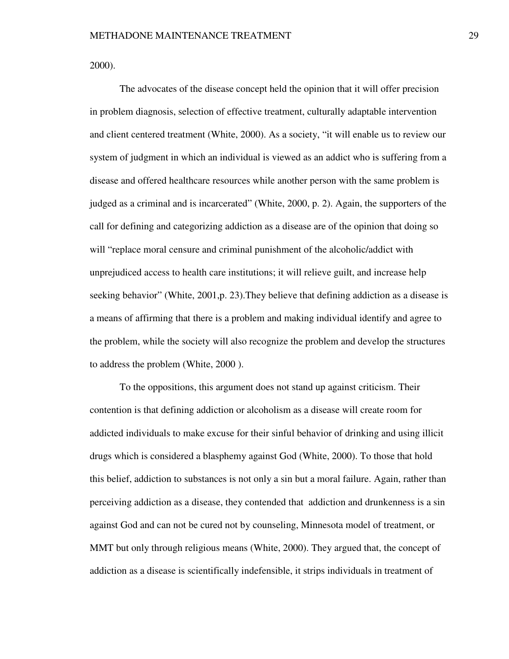2000).

The advocates of the disease concept held the opinion that it will offer precision in problem diagnosis, selection of effective treatment, culturally adaptable intervention and client centered treatment (White, 2000). As a society, "it will enable us to review our system of judgment in which an individual is viewed as an addict who is suffering from a disease and offered healthcare resources while another person with the same problem is judged as a criminal and is incarcerated" (White, 2000, p. 2). Again, the supporters of the call for defining and categorizing addiction as a disease are of the opinion that doing so will "replace moral censure and criminal punishment of the alcoholic/addict with unprejudiced access to health care institutions; it will relieve guilt, and increase help seeking behavior" (White, 2001, p. 23). They believe that defining addiction as a disease is a means of affirming that there is a problem and making individual identify and agree to the problem, while the society will also recognize the problem and develop the structures to address the problem (White, 2000 ).

To the oppositions, this argument does not stand up against criticism. Their contention is that defining addiction or alcoholism as a disease will create room for addicted individuals to make excuse for their sinful behavior of drinking and using illicit drugs which is considered a blasphemy against God (White, 2000). To those that hold this belief, addiction to substances is not only a sin but a moral failure. Again, rather than perceiving addiction as a disease, they contended that addiction and drunkenness is a sin against God and can not be cured not by counseling, Minnesota model of treatment, or MMT but only through religious means (White, 2000). They argued that, the concept of addiction as a disease is scientifically indefensible, it strips individuals in treatment of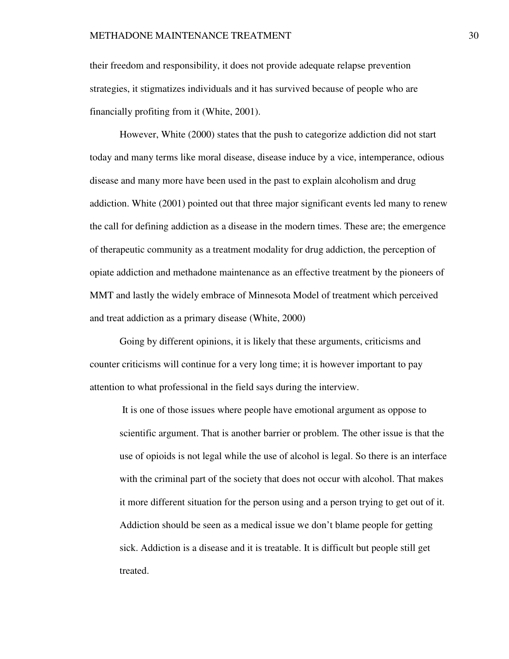their freedom and responsibility, it does not provide adequate relapse prevention strategies, it stigmatizes individuals and it has survived because of people who are financially profiting from it (White, 2001).

However, White (2000) states that the push to categorize addiction did not start today and many terms like moral disease, disease induce by a vice, intemperance, odious disease and many more have been used in the past to explain alcoholism and drug addiction. White (2001) pointed out that three major significant events led many to renew the call for defining addiction as a disease in the modern times. These are; the emergence of therapeutic community as a treatment modality for drug addiction, the perception of opiate addiction and methadone maintenance as an effective treatment by the pioneers of MMT and lastly the widely embrace of Minnesota Model of treatment which perceived and treat addiction as a primary disease (White, 2000)

Going by different opinions, it is likely that these arguments, criticisms and counter criticisms will continue for a very long time; it is however important to pay attention to what professional in the field says during the interview.

 It is one of those issues where people have emotional argument as oppose to scientific argument. That is another barrier or problem. The other issue is that the use of opioids is not legal while the use of alcohol is legal. So there is an interface with the criminal part of the society that does not occur with alcohol. That makes it more different situation for the person using and a person trying to get out of it. Addiction should be seen as a medical issue we don't blame people for getting sick. Addiction is a disease and it is treatable. It is difficult but people still get treated.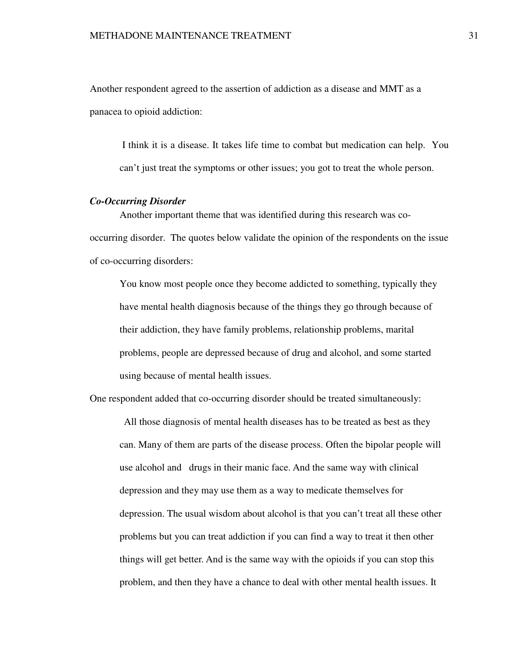Another respondent agreed to the assertion of addiction as a disease and MMT as a panacea to opioid addiction:

 I think it is a disease. It takes life time to combat but medication can help. You can't just treat the symptoms or other issues; you got to treat the whole person.

### *Co-Occurring Disorder*

Another important theme that was identified during this research was cooccurring disorder. The quotes below validate the opinion of the respondents on the issue of co-occurring disorders:

You know most people once they become addicted to something, typically they have mental health diagnosis because of the things they go through because of their addiction, they have family problems, relationship problems, marital problems, people are depressed because of drug and alcohol, and some started using because of mental health issues.

One respondent added that co-occurring disorder should be treated simultaneously:

 All those diagnosis of mental health diseases has to be treated as best as they can. Many of them are parts of the disease process. Often the bipolar people will use alcohol and drugs in their manic face. And the same way with clinical depression and they may use them as a way to medicate themselves for depression. The usual wisdom about alcohol is that you can't treat all these other problems but you can treat addiction if you can find a way to treat it then other things will get better. And is the same way with the opioids if you can stop this problem, and then they have a chance to deal with other mental health issues. It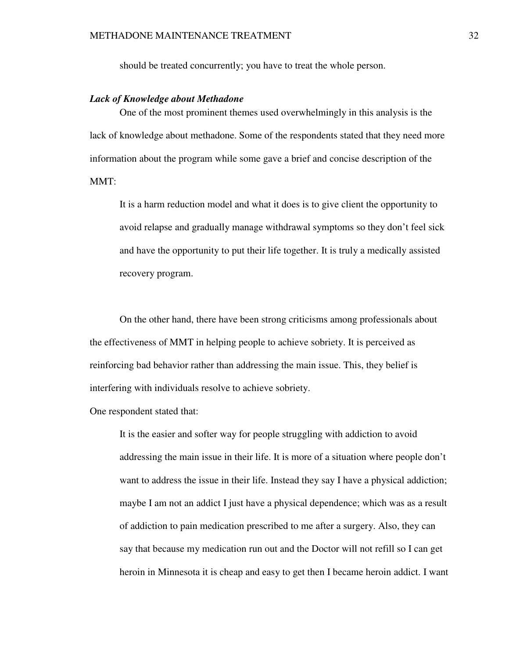should be treated concurrently; you have to treat the whole person.

### *Lack of Knowledge about Methadone*

 One of the most prominent themes used overwhelmingly in this analysis is the lack of knowledge about methadone. Some of the respondents stated that they need more information about the program while some gave a brief and concise description of the MMT:

It is a harm reduction model and what it does is to give client the opportunity to avoid relapse and gradually manage withdrawal symptoms so they don't feel sick and have the opportunity to put their life together. It is truly a medically assisted recovery program.

 On the other hand, there have been strong criticisms among professionals about the effectiveness of MMT in helping people to achieve sobriety. It is perceived as reinforcing bad behavior rather than addressing the main issue. This, they belief is interfering with individuals resolve to achieve sobriety.

One respondent stated that:

It is the easier and softer way for people struggling with addiction to avoid addressing the main issue in their life. It is more of a situation where people don't want to address the issue in their life. Instead they say I have a physical addiction; maybe I am not an addict I just have a physical dependence; which was as a result of addiction to pain medication prescribed to me after a surgery. Also, they can say that because my medication run out and the Doctor will not refill so I can get heroin in Minnesota it is cheap and easy to get then I became heroin addict. I want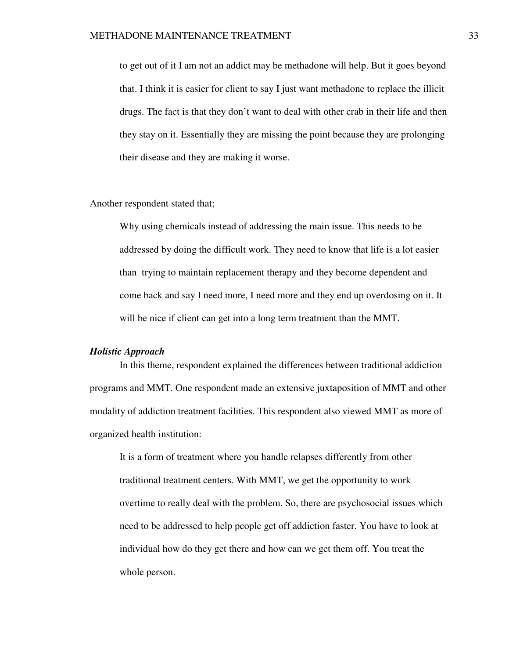to get out of it I am not an addict may be methadone will help. But it goes beyond that. I think it is easier for client to say I just want methadone to replace the illicit drugs. The fact is that they don't want to deal with other crab in their life and then they stay on it. Essentially they are missing the point because they are prolonging their disease and they are making it worse.

#### Another respondent stated that;

Why using chemicals instead of addressing the main issue. This needs to be addressed by doing the difficult work. They need to know that life is a lot easier than trying to maintain replacement therapy and they become dependent and come back and say I need more, I need more and they end up overdosing on it. It will be nice if client can get into a long term treatment than the MMT.

#### *Holistic Approach*

In this theme, respondent explained the differences between traditional addiction programs and MMT. One respondent made an extensive juxtaposition of MMT and other modality of addiction treatment facilities. This respondent also viewed MMT as more of organized health institution:

It is a form of treatment where you handle relapses differently from other traditional treatment centers. With MMT, we get the opportunity to work overtime to really deal with the problem. So, there are psychosocial issues which need to be addressed to help people get off addiction faster. You have to look at individual how do they get there and how can we get them off. You treat the whole person.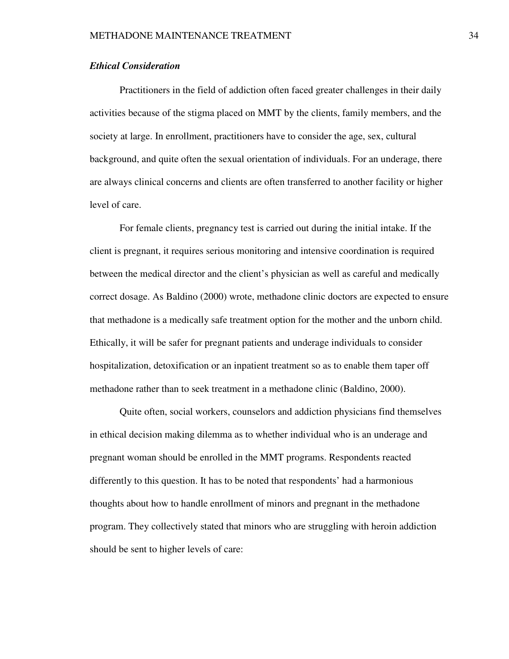#### *Ethical Consideration*

Practitioners in the field of addiction often faced greater challenges in their daily activities because of the stigma placed on MMT by the clients, family members, and the society at large. In enrollment, practitioners have to consider the age, sex, cultural background, and quite often the sexual orientation of individuals. For an underage, there are always clinical concerns and clients are often transferred to another facility or higher level of care.

For female clients, pregnancy test is carried out during the initial intake. If the client is pregnant, it requires serious monitoring and intensive coordination is required between the medical director and the client's physician as well as careful and medically correct dosage. As Baldino (2000) wrote, methadone clinic doctors are expected to ensure that methadone is a medically safe treatment option for the mother and the unborn child. Ethically, it will be safer for pregnant patients and underage individuals to consider hospitalization, detoxification or an inpatient treatment so as to enable them taper off methadone rather than to seek treatment in a methadone clinic (Baldino, 2000).

Quite often, social workers, counselors and addiction physicians find themselves in ethical decision making dilemma as to whether individual who is an underage and pregnant woman should be enrolled in the MMT programs. Respondents reacted differently to this question. It has to be noted that respondents' had a harmonious thoughts about how to handle enrollment of minors and pregnant in the methadone program. They collectively stated that minors who are struggling with heroin addiction should be sent to higher levels of care: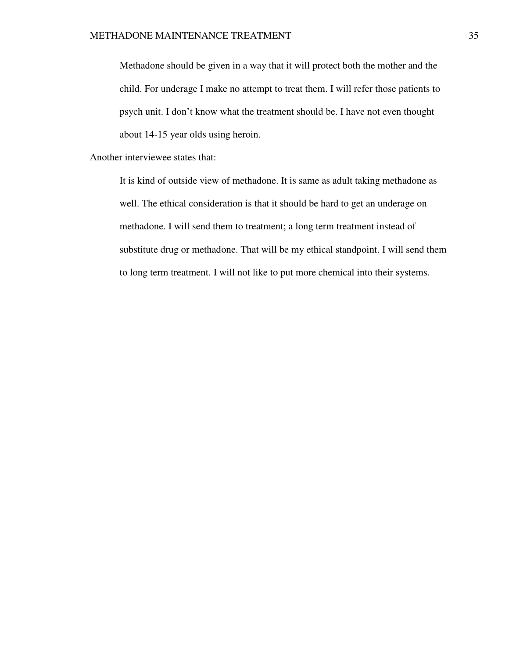Methadone should be given in a way that it will protect both the mother and the child. For underage I make no attempt to treat them. I will refer those patients to psych unit. I don't know what the treatment should be. I have not even thought about 14-15 year olds using heroin.

Another interviewee states that:

It is kind of outside view of methadone. It is same as adult taking methadone as well. The ethical consideration is that it should be hard to get an underage on methadone. I will send them to treatment; a long term treatment instead of substitute drug or methadone. That will be my ethical standpoint. I will send them to long term treatment. I will not like to put more chemical into their systems.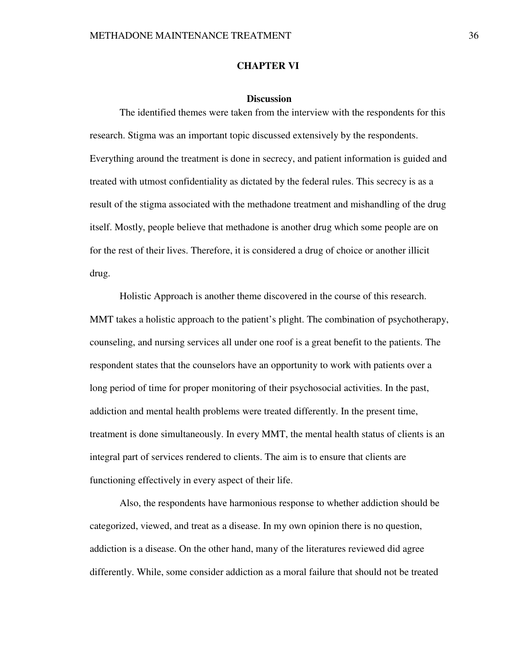#### **CHAPTER VI**

#### **Discussion**

The identified themes were taken from the interview with the respondents for this research. Stigma was an important topic discussed extensively by the respondents. Everything around the treatment is done in secrecy, and patient information is guided and treated with utmost confidentiality as dictated by the federal rules. This secrecy is as a result of the stigma associated with the methadone treatment and mishandling of the drug itself. Mostly, people believe that methadone is another drug which some people are on for the rest of their lives. Therefore, it is considered a drug of choice or another illicit drug.

Holistic Approach is another theme discovered in the course of this research. MMT takes a holistic approach to the patient's plight. The combination of psychotherapy, counseling, and nursing services all under one roof is a great benefit to the patients. The respondent states that the counselors have an opportunity to work with patients over a long period of time for proper monitoring of their psychosocial activities. In the past, addiction and mental health problems were treated differently. In the present time, treatment is done simultaneously. In every MMT, the mental health status of clients is an integral part of services rendered to clients. The aim is to ensure that clients are functioning effectively in every aspect of their life.

Also, the respondents have harmonious response to whether addiction should be categorized, viewed, and treat as a disease. In my own opinion there is no question, addiction is a disease. On the other hand, many of the literatures reviewed did agree differently. While, some consider addiction as a moral failure that should not be treated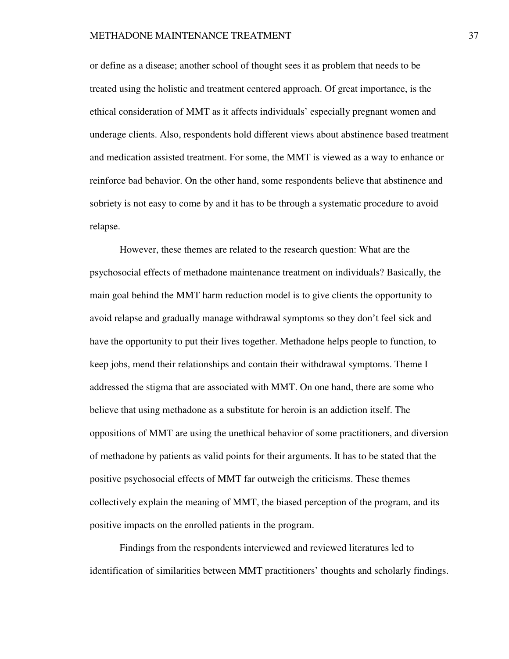or define as a disease; another school of thought sees it as problem that needs to be treated using the holistic and treatment centered approach. Of great importance, is the ethical consideration of MMT as it affects individuals' especially pregnant women and underage clients. Also, respondents hold different views about abstinence based treatment and medication assisted treatment. For some, the MMT is viewed as a way to enhance or reinforce bad behavior. On the other hand, some respondents believe that abstinence and sobriety is not easy to come by and it has to be through a systematic procedure to avoid relapse.

However, these themes are related to the research question: What are the psychosocial effects of methadone maintenance treatment on individuals? Basically, the main goal behind the MMT harm reduction model is to give clients the opportunity to avoid relapse and gradually manage withdrawal symptoms so they don't feel sick and have the opportunity to put their lives together. Methadone helps people to function, to keep jobs, mend their relationships and contain their withdrawal symptoms. Theme I addressed the stigma that are associated with MMT. On one hand, there are some who believe that using methadone as a substitute for heroin is an addiction itself. The oppositions of MMT are using the unethical behavior of some practitioners, and diversion of methadone by patients as valid points for their arguments. It has to be stated that the positive psychosocial effects of MMT far outweigh the criticisms. These themes collectively explain the meaning of MMT, the biased perception of the program, and its positive impacts on the enrolled patients in the program.

Findings from the respondents interviewed and reviewed literatures led to identification of similarities between MMT practitioners' thoughts and scholarly findings.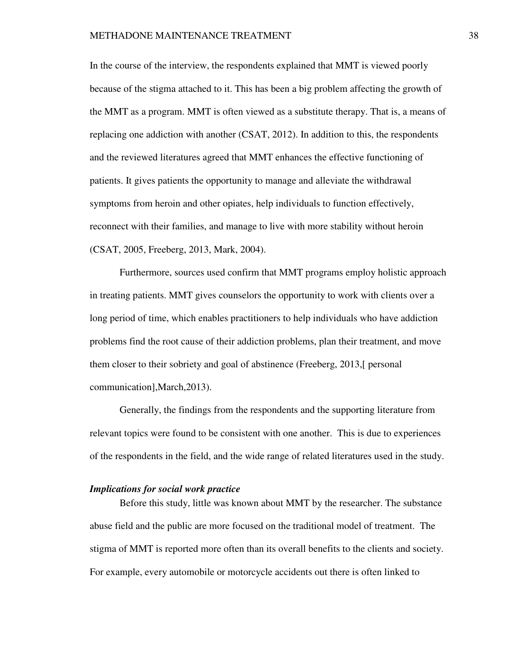In the course of the interview, the respondents explained that MMT is viewed poorly because of the stigma attached to it. This has been a big problem affecting the growth of the MMT as a program. MMT is often viewed as a substitute therapy. That is, a means of replacing one addiction with another (CSAT, 2012). In addition to this, the respondents and the reviewed literatures agreed that MMT enhances the effective functioning of patients. It gives patients the opportunity to manage and alleviate the withdrawal symptoms from heroin and other opiates, help individuals to function effectively, reconnect with their families, and manage to live with more stability without heroin (CSAT, 2005, Freeberg, 2013, Mark, 2004).

Furthermore, sources used confirm that MMT programs employ holistic approach in treating patients. MMT gives counselors the opportunity to work with clients over a long period of time, which enables practitioners to help individuals who have addiction problems find the root cause of their addiction problems, plan their treatment, and move them closer to their sobriety and goal of abstinence (Freeberg, 2013,[ personal communication],March,2013).

Generally, the findings from the respondents and the supporting literature from relevant topics were found to be consistent with one another. This is due to experiences of the respondents in the field, and the wide range of related literatures used in the study.

#### *Implications for social work practice*

Before this study, little was known about MMT by the researcher. The substance abuse field and the public are more focused on the traditional model of treatment. The stigma of MMT is reported more often than its overall benefits to the clients and society. For example, every automobile or motorcycle accidents out there is often linked to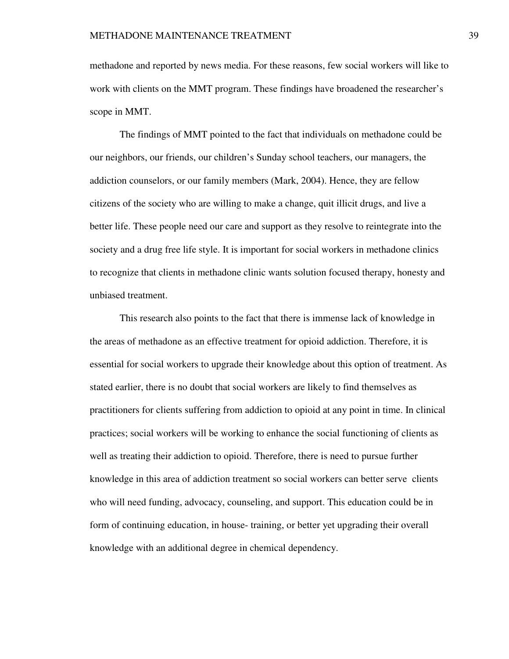methadone and reported by news media. For these reasons, few social workers will like to work with clients on the MMT program. These findings have broadened the researcher's scope in MMT.

The findings of MMT pointed to the fact that individuals on methadone could be our neighbors, our friends, our children's Sunday school teachers, our managers, the addiction counselors, or our family members (Mark, 2004). Hence, they are fellow citizens of the society who are willing to make a change, quit illicit drugs, and live a better life. These people need our care and support as they resolve to reintegrate into the society and a drug free life style. It is important for social workers in methadone clinics to recognize that clients in methadone clinic wants solution focused therapy, honesty and unbiased treatment.

This research also points to the fact that there is immense lack of knowledge in the areas of methadone as an effective treatment for opioid addiction. Therefore, it is essential for social workers to upgrade their knowledge about this option of treatment. As stated earlier, there is no doubt that social workers are likely to find themselves as practitioners for clients suffering from addiction to opioid at any point in time. In clinical practices; social workers will be working to enhance the social functioning of clients as well as treating their addiction to opioid. Therefore, there is need to pursue further knowledge in this area of addiction treatment so social workers can better serve clients who will need funding, advocacy, counseling, and support. This education could be in form of continuing education, in house- training, or better yet upgrading their overall knowledge with an additional degree in chemical dependency.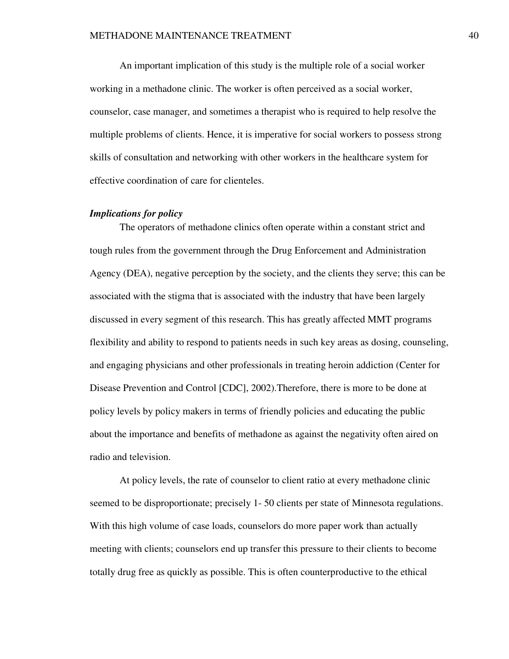An important implication of this study is the multiple role of a social worker working in a methadone clinic. The worker is often perceived as a social worker, counselor, case manager, and sometimes a therapist who is required to help resolve the multiple problems of clients. Hence, it is imperative for social workers to possess strong skills of consultation and networking with other workers in the healthcare system for effective coordination of care for clienteles.

#### *Implications for policy*

The operators of methadone clinics often operate within a constant strict and tough rules from the government through the Drug Enforcement and Administration Agency (DEA), negative perception by the society, and the clients they serve; this can be associated with the stigma that is associated with the industry that have been largely discussed in every segment of this research. This has greatly affected MMT programs flexibility and ability to respond to patients needs in such key areas as dosing, counseling, and engaging physicians and other professionals in treating heroin addiction (Center for Disease Prevention and Control [CDC], 2002).Therefore, there is more to be done at policy levels by policy makers in terms of friendly policies and educating the public about the importance and benefits of methadone as against the negativity often aired on radio and television.

 At policy levels, the rate of counselor to client ratio at every methadone clinic seemed to be disproportionate; precisely 1- 50 clients per state of Minnesota regulations. With this high volume of case loads, counselors do more paper work than actually meeting with clients; counselors end up transfer this pressure to their clients to become totally drug free as quickly as possible. This is often counterproductive to the ethical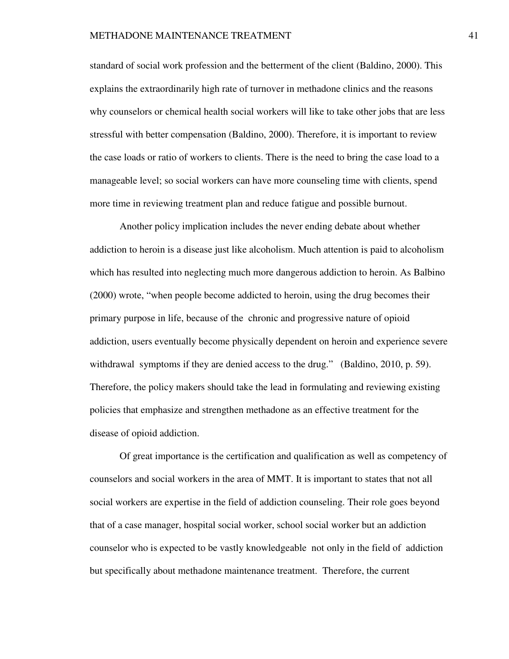standard of social work profession and the betterment of the client (Baldino, 2000). This explains the extraordinarily high rate of turnover in methadone clinics and the reasons why counselors or chemical health social workers will like to take other jobs that are less stressful with better compensation (Baldino, 2000). Therefore, it is important to review the case loads or ratio of workers to clients. There is the need to bring the case load to a manageable level; so social workers can have more counseling time with clients, spend more time in reviewing treatment plan and reduce fatigue and possible burnout.

 Another policy implication includes the never ending debate about whether addiction to heroin is a disease just like alcoholism. Much attention is paid to alcoholism which has resulted into neglecting much more dangerous addiction to heroin. As Balbino (2000) wrote, "when people become addicted to heroin, using the drug becomes their primary purpose in life, because of the chronic and progressive nature of opioid addiction, users eventually become physically dependent on heroin and experience severe withdrawal symptoms if they are denied access to the drug." (Baldino, 2010, p. 59). Therefore, the policy makers should take the lead in formulating and reviewing existing policies that emphasize and strengthen methadone as an effective treatment for the disease of opioid addiction.

 Of great importance is the certification and qualification as well as competency of counselors and social workers in the area of MMT. It is important to states that not all social workers are expertise in the field of addiction counseling. Their role goes beyond that of a case manager, hospital social worker, school social worker but an addiction counselor who is expected to be vastly knowledgeable not only in the field of addiction but specifically about methadone maintenance treatment. Therefore, the current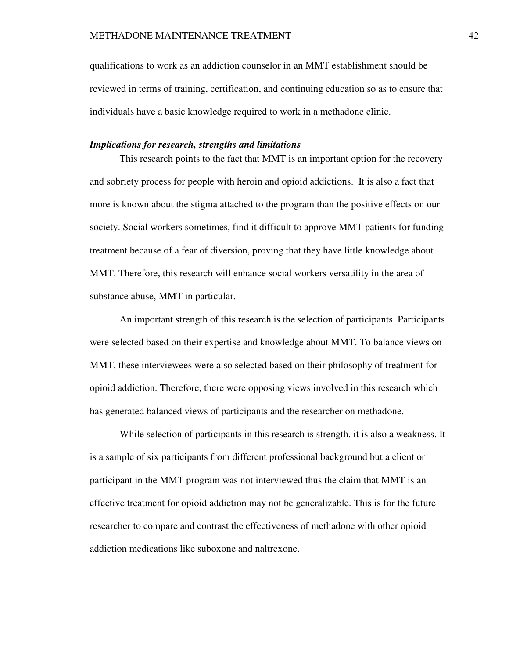qualifications to work as an addiction counselor in an MMT establishment should be reviewed in terms of training, certification, and continuing education so as to ensure that individuals have a basic knowledge required to work in a methadone clinic.

#### *Implications for research, strengths and limitations*

 This research points to the fact that MMT is an important option for the recovery and sobriety process for people with heroin and opioid addictions. It is also a fact that more is known about the stigma attached to the program than the positive effects on our society. Social workers sometimes, find it difficult to approve MMT patients for funding treatment because of a fear of diversion, proving that they have little knowledge about MMT. Therefore, this research will enhance social workers versatility in the area of substance abuse, MMT in particular.

An important strength of this research is the selection of participants. Participants were selected based on their expertise and knowledge about MMT. To balance views on MMT, these interviewees were also selected based on their philosophy of treatment for opioid addiction. Therefore, there were opposing views involved in this research which has generated balanced views of participants and the researcher on methadone.

 While selection of participants in this research is strength, it is also a weakness. It is a sample of six participants from different professional background but a client or participant in the MMT program was not interviewed thus the claim that MMT is an effective treatment for opioid addiction may not be generalizable. This is for the future researcher to compare and contrast the effectiveness of methadone with other opioid addiction medications like suboxone and naltrexone.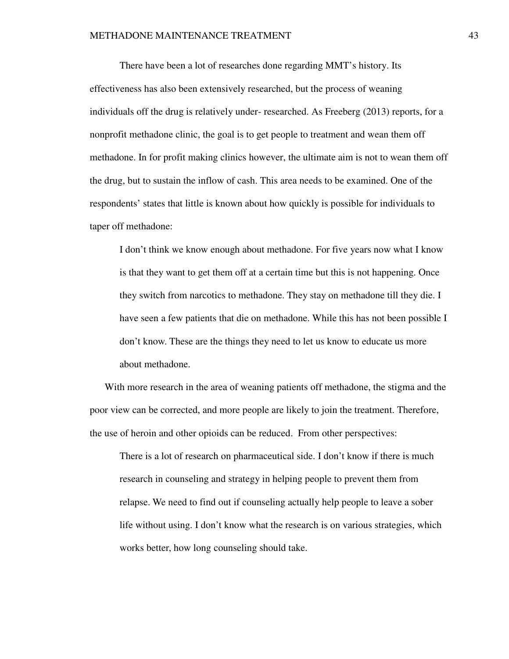There have been a lot of researches done regarding MMT's history. Its effectiveness has also been extensively researched, but the process of weaning individuals off the drug is relatively under- researched. As Freeberg (2013) reports, for a nonprofit methadone clinic, the goal is to get people to treatment and wean them off methadone. In for profit making clinics however, the ultimate aim is not to wean them off the drug, but to sustain the inflow of cash. This area needs to be examined. One of the respondents' states that little is known about how quickly is possible for individuals to taper off methadone:

I don't think we know enough about methadone. For five years now what I know is that they want to get them off at a certain time but this is not happening. Once they switch from narcotics to methadone. They stay on methadone till they die. I have seen a few patients that die on methadone. While this has not been possible I don't know. These are the things they need to let us know to educate us more about methadone.

With more research in the area of weaning patients off methadone, the stigma and the poor view can be corrected, and more people are likely to join the treatment. Therefore, the use of heroin and other opioids can be reduced. From other perspectives:

There is a lot of research on pharmaceutical side. I don't know if there is much research in counseling and strategy in helping people to prevent them from relapse. We need to find out if counseling actually help people to leave a sober life without using. I don't know what the research is on various strategies, which works better, how long counseling should take.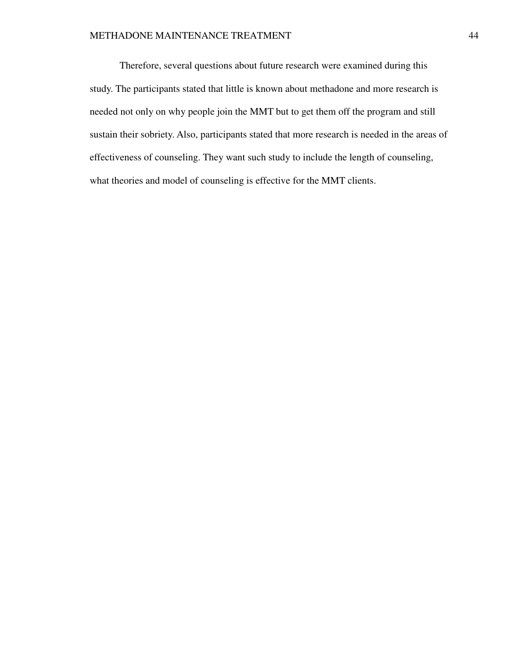Therefore, several questions about future research were examined during this study. The participants stated that little is known about methadone and more research is needed not only on why people join the MMT but to get them off the program and still sustain their sobriety. Also, participants stated that more research is needed in the areas of effectiveness of counseling. They want such study to include the length of counseling, what theories and model of counseling is effective for the MMT clients.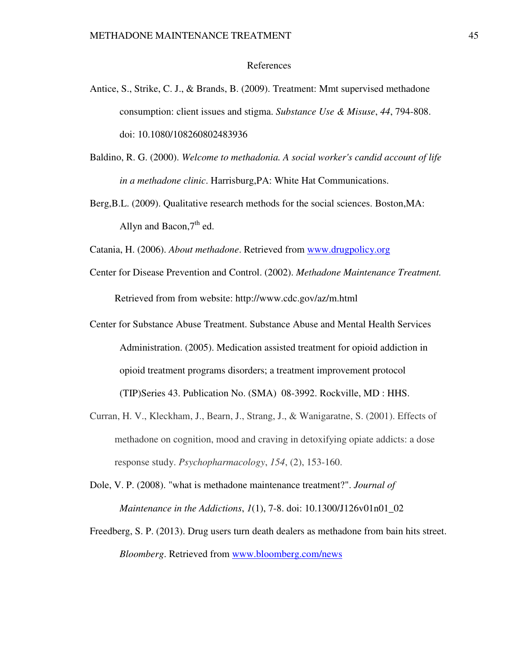#### References

- Antice, S., Strike, C. J., & Brands, B. (2009). Treatment: Mmt supervised methadone consumption: client issues and stigma. *Substance Use & Misuse*, *44*, 794-808. doi: 10.1080/108260802483936
- Baldino, R. G. (2000). *Welcome to methadonia. A social worker's candid account of life in a methadone clinic*. Harrisburg,PA: White Hat Communications.
- Berg,B.L. (2009). Qualitative research methods for the social sciences. Boston,MA: Allyn and Bacon,  $7<sup>th</sup>$  ed.

Catania, H. (2006). *About methadone*. Retrieved from www.drugpolicy.org

- Center for Disease Prevention and Control. (2002). *Methadone Maintenance Treatment.* Retrieved from from website: http://www.cdc.gov/az/m.html
- Center for Substance Abuse Treatment. Substance Abuse and Mental Health Services Administration. (2005). Medication assisted treatment for opioid addiction in opioid treatment programs disorders; a treatment improvement protocol (TIP)Series 43. Publication No. (SMA) 08-3992. Rockville, MD : HHS.
- Curran, H. V., Kleckham, J., Bearn, J., Strang, J., & Wanigaratne, S. (2001). Effects of methadone on cognition, mood and craving in detoxifying opiate addicts: a dose response study. *Psychopharmacology*, *154*, (2), 153-160.
- Dole, V. P. (2008). "what is methadone maintenance treatment?". *Journal of Maintenance in the Addictions*, *1*(1), 7-8. doi: 10.1300/J126v01n01\_02
- Freedberg, S. P. (2013). Drug users turn death dealers as methadone from bain hits street. *Bloomberg*. Retrieved from www.bloomberg.com/news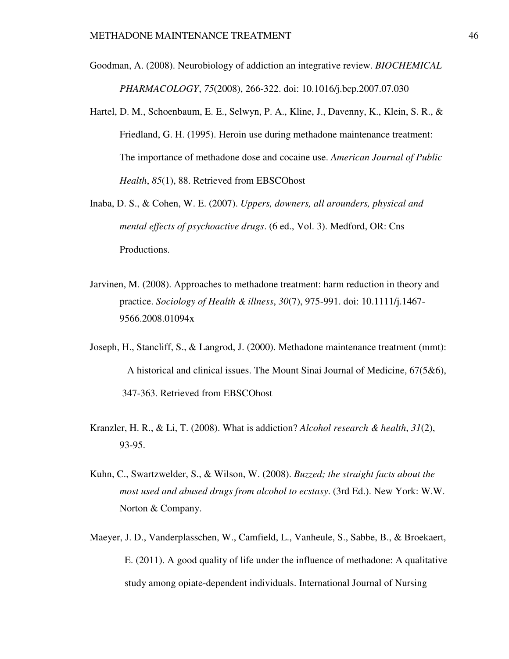- Goodman, A. (2008). Neurobiology of addiction an integrative review. *BIOCHEMICAL PHARMACOLOGY*, *75*(2008), 266-322. doi: 10.1016/j.bcp.2007.07.030
- Hartel, D. M., Schoenbaum, E. E., Selwyn, P. A., Kline, J., Davenny, K., Klein, S. R., & Friedland, G. H. (1995). Heroin use during methadone maintenance treatment: The importance of methadone dose and cocaine use. *American Journal of Public Health*, *85*(1), 88. Retrieved from EBSCOhost
- Inaba, D. S., & Cohen, W. E. (2007). *Uppers, downers, all arounders, physical and mental effects of psychoactive drugs*. (6 ed., Vol. 3). Medford, OR: Cns Productions.
- Jarvinen, M. (2008). Approaches to methadone treatment: harm reduction in theory and practice. *Sociology of Health & illness*, *30*(7), 975-991. doi: 10.1111/j.1467- 9566.2008.01094x
- Joseph, H., Stancliff, S., & Langrod, J. (2000). Methadone maintenance treatment (mmt): A historical and clinical issues. The Mount Sinai Journal of Medicine, 67(5&6), 347-363. Retrieved from EBSCOhost
- Kranzler, H. R., & Li, T. (2008). What is addiction? *Alcohol research & health*, *31*(2), 93-95.
- Kuhn, C., Swartzwelder, S., & Wilson, W. (2008). *Buzzed; the straight facts about the most used and abused drugs from alcohol to ecstasy*. (3rd Ed.). New York: W.W. Norton & Company.
- Maeyer, J. D., Vanderplasschen, W., Camfield, L., Vanheule, S., Sabbe, B., & Broekaert, E. (2011). A good quality of life under the influence of methadone: A qualitative study among opiate-dependent individuals. International Journal of Nursing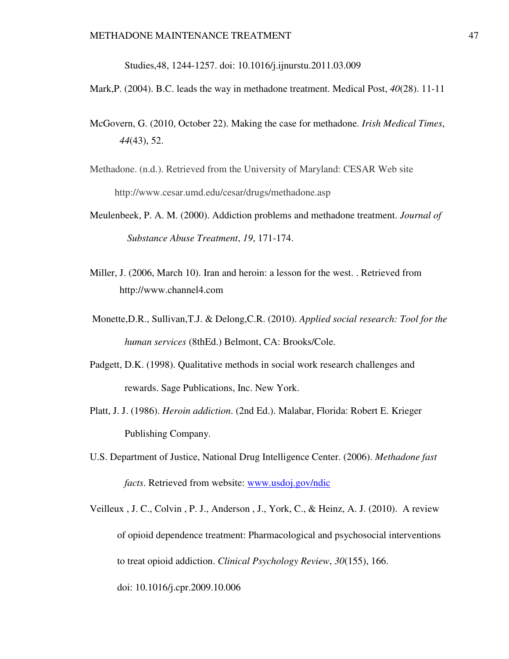Studies,48, 1244-1257. doi: 10.1016/j.ijnurstu.2011.03.009

Mark,P. (2004). B.C. leads the way in methadone treatment. Medical Post, *40*(28). 11-11

- McGovern, G. (2010, October 22). Making the case for methadone. *Irish Medical Times*, *44*(43), 52.
- Methadone. (n.d.). Retrieved from the University of Maryland: CESAR Web site http://www.cesar.umd.edu/cesar/drugs/methadone.asp
- Meulenbeek, P. A. M. (2000). Addiction problems and methadone treatment. *Journal of Substance Abuse Treatment*, *19*, 171-174.
- Miller, J. (2006, March 10). Iran and heroin: a lesson for the west. . Retrieved from http://www.channel4.com
- Monette,D.R., Sullivan,T.J. & Delong,C.R. (2010). *Applied social research: Tool for the human services* (8thEd.) Belmont, CA: Brooks/Cole.
- Padgett, D.K. (1998). Qualitative methods in social work research challenges and rewards. Sage Publications, Inc. New York.
- Platt, J. J. (1986). *Heroin addiction*. (2nd Ed.). Malabar, Florida: Robert E. Krieger Publishing Company.
- U.S. Department of Justice, National Drug Intelligence Center. (2006). *Methadone fast facts*. Retrieved from website: www.usdoj.gov/ndic
- Veilleux , J. C., Colvin , P. J., Anderson , J., York, C., & Heinz, A. J. (2010). A review of opioid dependence treatment: Pharmacological and psychosocial interventions to treat opioid addiction. *Clinical Psychology Review*, *30*(155), 166. doi: 10.1016/j.cpr.2009.10.006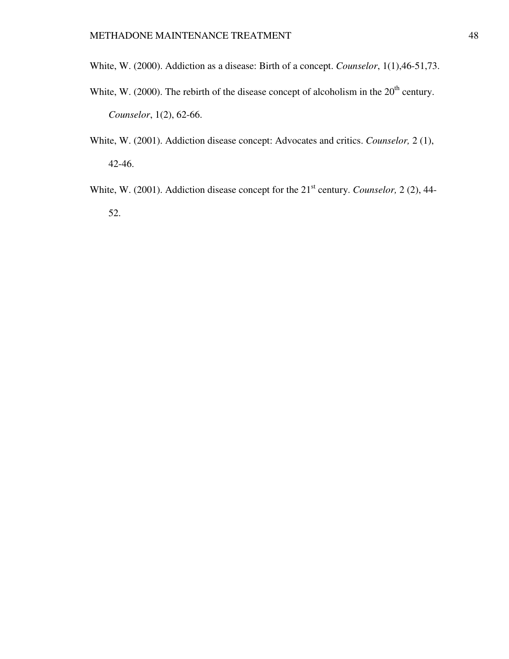- White, W. (2000). Addiction as a disease: Birth of a concept. *Counselor*, 1(1),46-51,73.
- White, W. (2000). The rebirth of the disease concept of alcoholism in the  $20<sup>th</sup>$  century. *Counselor*, 1(2), 62-66.
- White, W. (2001). Addiction disease concept: Advocates and critics. *Counselor,* 2 (1), 42-46.
- White, W. (2001). Addiction disease concept for the 21<sup>st</sup> century. *Counselor*, 2 (2), 44-52.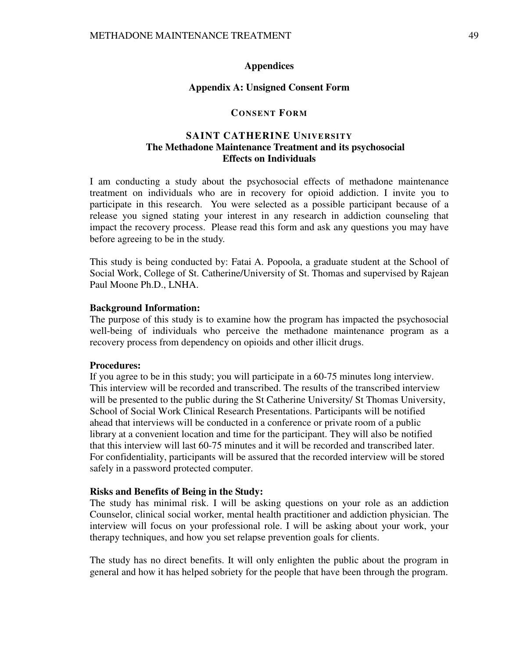#### **Appendices**

#### **Appendix A: Unsigned Consent Form**

#### **CONSENT FORM**

## **SAINT CATHERINE UNIVERSITY The Methadone Maintenance Treatment and its psychosocial Effects on Individuals**

I am conducting a study about the psychosocial effects of methadone maintenance treatment on individuals who are in recovery for opioid addiction. I invite you to participate in this research. You were selected as a possible participant because of a release you signed stating your interest in any research in addiction counseling that impact the recovery process. Please read this form and ask any questions you may have before agreeing to be in the study.

This study is being conducted by: Fatai A. Popoola, a graduate student at the School of Social Work, College of St. Catherine/University of St. Thomas and supervised by Rajean Paul Moone Ph.D., LNHA.

#### **Background Information:**

The purpose of this study is to examine how the program has impacted the psychosocial well-being of individuals who perceive the methadone maintenance program as a recovery process from dependency on opioids and other illicit drugs.

#### **Procedures:**

If you agree to be in this study; you will participate in a 60-75 minutes long interview. This interview will be recorded and transcribed. The results of the transcribed interview will be presented to the public during the St Catherine University/ St Thomas University, School of Social Work Clinical Research Presentations. Participants will be notified ahead that interviews will be conducted in a conference or private room of a public library at a convenient location and time for the participant. They will also be notified that this interview will last 60-75 minutes and it will be recorded and transcribed later. For confidentiality, participants will be assured that the recorded interview will be stored safely in a password protected computer.

#### **Risks and Benefits of Being in the Study:**

The study has minimal risk. I will be asking questions on your role as an addiction Counselor, clinical social worker, mental health practitioner and addiction physician. The interview will focus on your professional role. I will be asking about your work, your therapy techniques, and how you set relapse prevention goals for clients.

The study has no direct benefits. It will only enlighten the public about the program in general and how it has helped sobriety for the people that have been through the program.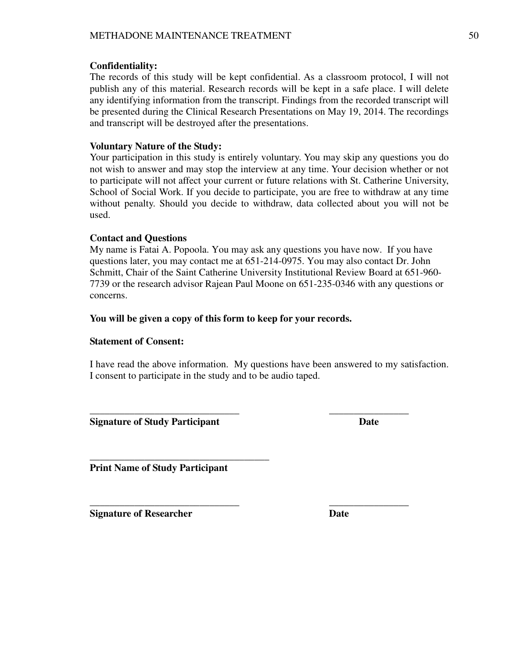### **Confidentiality:**

The records of this study will be kept confidential. As a classroom protocol, I will not publish any of this material. Research records will be kept in a safe place. I will delete any identifying information from the transcript. Findings from the recorded transcript will be presented during the Clinical Research Presentations on May 19, 2014. The recordings and transcript will be destroyed after the presentations.

## **Voluntary Nature of the Study:**

Your participation in this study is entirely voluntary. You may skip any questions you do not wish to answer and may stop the interview at any time. Your decision whether or not to participate will not affect your current or future relations with St. Catherine University, School of Social Work. If you decide to participate, you are free to withdraw at any time without penalty. Should you decide to withdraw, data collected about you will not be used.

### **Contact and Questions**

My name is Fatai A. Popoola. You may ask any questions you have now. If you have questions later, you may contact me at 651-214-0975. You may also contact Dr. John Schmitt, Chair of the Saint Catherine University Institutional Review Board at 651-960- 7739 or the research advisor Rajean Paul Moone on 651-235-0346 with any questions or concerns.

### **You will be given a copy of this form to keep for your records.**

## **Statement of Consent:**

I have read the above information. My questions have been answered to my satisfaction. I consent to participate in the study and to be audio taped.

\_\_\_\_\_\_\_\_\_\_\_\_\_\_\_\_\_\_\_\_\_\_\_\_\_\_\_\_\_\_ \_\_\_\_\_\_\_\_\_\_\_\_\_\_\_\_

\_\_\_\_\_\_\_\_\_\_\_\_\_\_\_\_\_\_\_\_\_\_\_\_\_\_\_\_\_\_ \_\_\_\_\_\_\_\_\_\_\_\_\_\_\_\_

**Signature of Study Participant Date Date** 

**Print Name of Study Participant** 

\_\_\_\_\_\_\_\_\_\_\_\_\_\_\_\_\_\_\_\_\_\_\_\_\_\_\_\_\_\_\_\_\_\_\_\_

**Signature of Researcher Contract Contract Contract Date**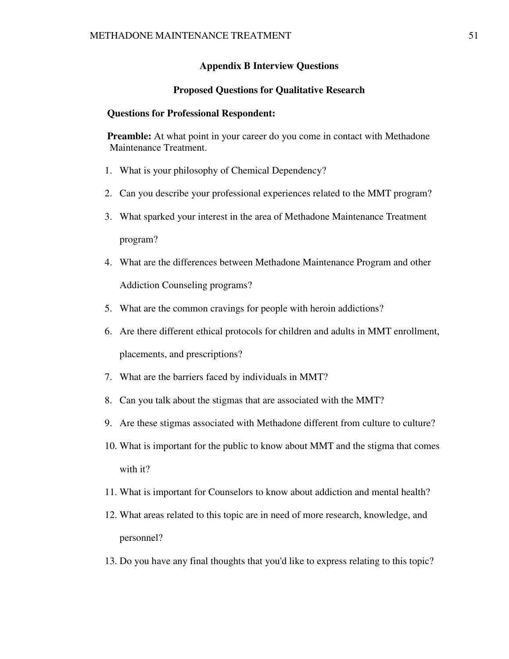#### **Appendix B Interview Questions**

#### **Proposed Questions for Qualitative Research**

#### **Questions for Professional Respondent:**

**Preamble:** At what point in your career do you come in contact with Methadone Maintenance Treatment.

- 1. What is your philosophy of Chemical Dependency?
- 2. Can you describe your professional experiences related to the MMT program?
- 3. What sparked your interest in the area of Methadone Maintenance Treatment program?
- 4. What are the differences between Methadone Maintenance Program and other Addiction Counseling programs?
- 5. What are the common cravings for people with heroin addictions?
- 6. Are there different ethical protocols for children and adults in MMT enrollment, placements, and prescriptions?
- 7. What are the barriers faced by individuals in MMT?
- 8. Can you talk about the stigmas that are associated with the MMT?
- 9. Are these stigmas associated with Methadone different from culture to culture?
- 10. What is important for the public to know about MMT and the stigma that comes with it?
- 11. What is important for Counselors to know about addiction and mental health?
- 12. What areas related to this topic are in need of more research, knowledge, and personnel?
- 13. Do you have any final thoughts that you'd like to express relating to this topic?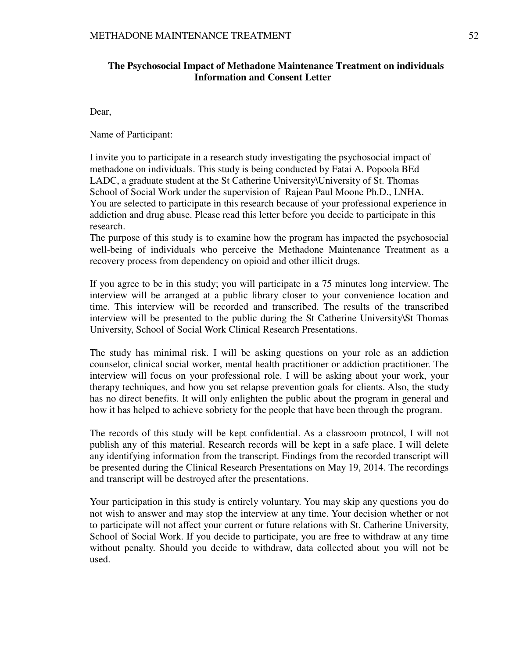## **The Psychosocial Impact of Methadone Maintenance Treatment on individuals Information and Consent Letter**

Dear,

Name of Participant:

I invite you to participate in a research study investigating the psychosocial impact of methadone on individuals. This study is being conducted by Fatai A. Popoola BEd LADC, a graduate student at the St Catherine University\University of St. Thomas School of Social Work under the supervision of Rajean Paul Moone Ph.D., LNHA. You are selected to participate in this research because of your professional experience in addiction and drug abuse. Please read this letter before you decide to participate in this research.

The purpose of this study is to examine how the program has impacted the psychosocial well-being of individuals who perceive the Methadone Maintenance Treatment as a recovery process from dependency on opioid and other illicit drugs.

If you agree to be in this study; you will participate in a 75 minutes long interview. The interview will be arranged at a public library closer to your convenience location and time. This interview will be recorded and transcribed. The results of the transcribed interview will be presented to the public during the St Catherine University\St Thomas University, School of Social Work Clinical Research Presentations.

The study has minimal risk. I will be asking questions on your role as an addiction counselor, clinical social worker, mental health practitioner or addiction practitioner. The interview will focus on your professional role. I will be asking about your work, your therapy techniques, and how you set relapse prevention goals for clients. Also, the study has no direct benefits. It will only enlighten the public about the program in general and how it has helped to achieve sobriety for the people that have been through the program.

The records of this study will be kept confidential. As a classroom protocol, I will not publish any of this material. Research records will be kept in a safe place. I will delete any identifying information from the transcript. Findings from the recorded transcript will be presented during the Clinical Research Presentations on May 19, 2014. The recordings and transcript will be destroyed after the presentations.

Your participation in this study is entirely voluntary. You may skip any questions you do not wish to answer and may stop the interview at any time. Your decision whether or not to participate will not affect your current or future relations with St. Catherine University, School of Social Work. If you decide to participate, you are free to withdraw at any time without penalty. Should you decide to withdraw, data collected about you will not be used.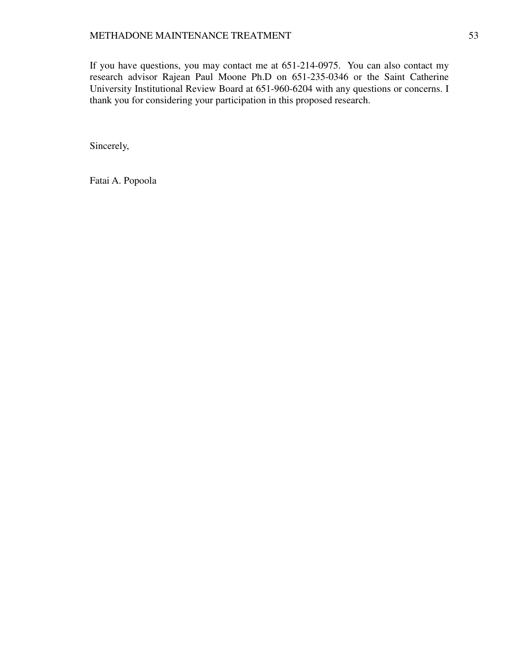If you have questions, you may contact me at 651-214-0975. You can also contact my research advisor Rajean Paul Moone Ph.D on 651-235-0346 or the Saint Catherine University Institutional Review Board at 651-960-6204 with any questions or concerns. I thank you for considering your participation in this proposed research.

Sincerely,

Fatai A. Popoola